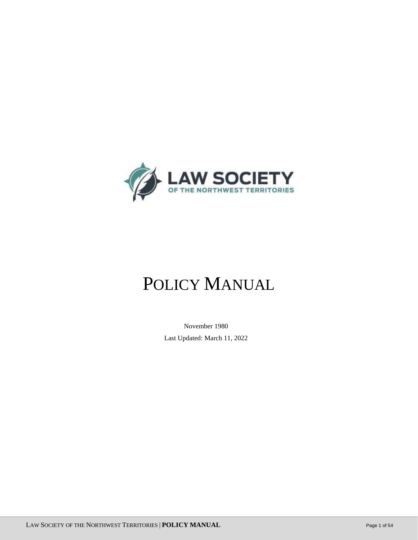

# POLICY MANUAL

 November 1980 Last Updated: March 11, 2022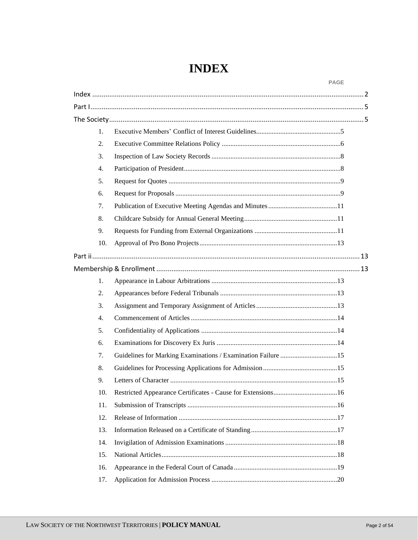# **INDEX**

<span id="page-1-0"></span>

|                  |                                                              | <b>PAGE</b> |  |
|------------------|--------------------------------------------------------------|-------------|--|
|                  |                                                              |             |  |
|                  |                                                              |             |  |
|                  |                                                              |             |  |
| 1.               |                                                              |             |  |
| 2.               |                                                              |             |  |
| 3.               |                                                              |             |  |
| $\overline{4}$ . |                                                              |             |  |
| 5.               |                                                              |             |  |
| 6.               |                                                              |             |  |
| 7.               |                                                              |             |  |
| 8.               |                                                              |             |  |
| 9.               |                                                              |             |  |
| 10.              |                                                              |             |  |
|                  |                                                              |             |  |
|                  |                                                              |             |  |
| 1.               |                                                              |             |  |
| 2.               |                                                              |             |  |
| 3.               |                                                              |             |  |
| $\overline{4}$ . |                                                              |             |  |
| 5.               |                                                              |             |  |
| 6.               |                                                              |             |  |
| 7.               | Guidelines for Marking Examinations / Examination Failure 15 |             |  |
| 8.               |                                                              |             |  |
| 9.               |                                                              |             |  |
| 10.              |                                                              |             |  |
| 11.              |                                                              |             |  |
| 12.              |                                                              |             |  |
| 13.              |                                                              |             |  |
| 14.              |                                                              |             |  |
| 15.              |                                                              |             |  |
| 16.              |                                                              |             |  |
| 17.              |                                                              |             |  |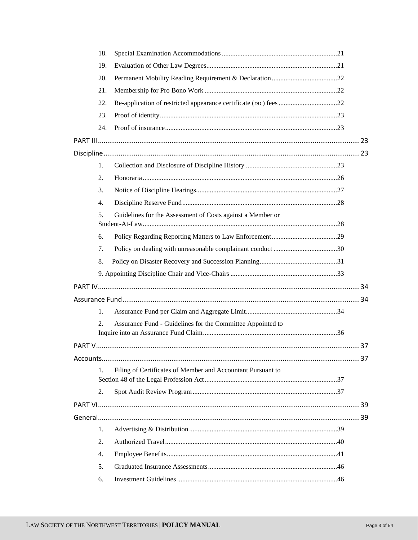| 18.              |                                                             |  |
|------------------|-------------------------------------------------------------|--|
| 19.              |                                                             |  |
| 20.              |                                                             |  |
| 21.              |                                                             |  |
| 22.              |                                                             |  |
| 23.              |                                                             |  |
| 24.              |                                                             |  |
|                  |                                                             |  |
|                  |                                                             |  |
| 1.               |                                                             |  |
| 2.               |                                                             |  |
| 3.               |                                                             |  |
| $\overline{4}$ . |                                                             |  |
| 5 <sub>1</sub>   | Guidelines for the Assessment of Costs against a Member or  |  |
|                  |                                                             |  |
| 6.               |                                                             |  |
| 7.               |                                                             |  |
| 8.               |                                                             |  |
|                  |                                                             |  |
|                  |                                                             |  |
|                  |                                                             |  |
| 1.               |                                                             |  |
| 2.               | Assurance Fund - Guidelines for the Committee Appointed to  |  |
|                  |                                                             |  |
|                  |                                                             |  |
| 1.               | Filing of Certificates of Member and Accountant Pursuant to |  |
|                  |                                                             |  |
| 2.               |                                                             |  |
|                  |                                                             |  |
|                  |                                                             |  |
| 1.               |                                                             |  |
| 2.               |                                                             |  |
| 4.               |                                                             |  |
| 5.               |                                                             |  |
| 6.               |                                                             |  |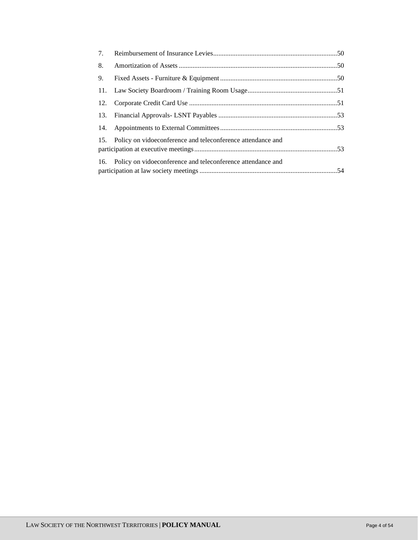| 7.  |                                                                 |  |
|-----|-----------------------------------------------------------------|--|
| 8.  |                                                                 |  |
| 9.  |                                                                 |  |
| 11. |                                                                 |  |
| 12. |                                                                 |  |
| 13. |                                                                 |  |
|     |                                                                 |  |
|     | 15. Policy on vidoeconference and teleconference attendance and |  |
|     | 16. Policy on vidoeconference and teleconference attendance and |  |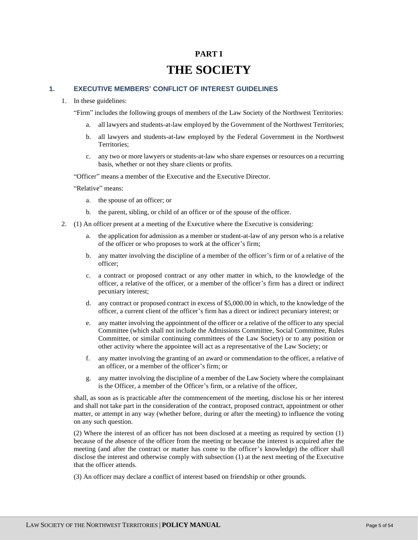# **PART I THE SOCIETY**

# <span id="page-4-2"></span><span id="page-4-1"></span><span id="page-4-0"></span>**1. EXECUTIVE MEMBERS' CONFLICT OF INTEREST GUIDELINES**

1. In these guidelines:

"Firm" includes the following groups of members of the Law Society of the Northwest Territories:

- a. all lawyers and students-at-law employed by the Government of the Northwest Territories;
- b. all lawyers and students-at-law employed by the Federal Government in the Northwest Territories;
- c. any two or more lawyers or students-at-law who share expenses or resources on a recurring basis, whether or not they share clients or profits.

"Officer" means a member of the Executive and the Executive Director.

"Relative" means:

- a. the spouse of an officer; or
- b. the parent, sibling, or child of an officer or of the spouse of the officer.
- 2. (1) An officer present at a meeting of the Executive where the Executive is considering:
	- a. the application for admission as a member or student-at-law of any person who is a relative of the officer or who proposes to work at the officer's firm;
	- b. any matter involving the discipline of a member of the officer's firm or of a relative of the officer;
	- c. a contract or proposed contract or any other matter in which, to the knowledge of the officer, a relative of the officer, or a member of the officer's firm has a direct or indirect pecuniary interest;
	- d. any contract or proposed contract in excess of \$5,000.00 in which, to the knowledge of the officer, a current client of the officer's firm has a direct or indirect pecuniary interest; or
	- e. any matter involving the appointment of the officer or a relative of the officer to any special Committee (which shall not include the Admissions Committee, Social Committee, Rules Committee, or similar continuing committees of the Law Society) or to any position or other activity where the appointee will act as a representative of the Law Society; or
	- f. any matter involving the granting of an award or commendation to the officer, a relative of an officer, or a member of the officer's firm; or
	- g. any matter involving the discipline of a member of the Law Society where the complainant is the Officer, a member of the Officer's firm, or a relative of the officer,

shall, as soon as is practicable after the commencement of the meeting, disclose his or her interest and shall not take part in the consideration of the contract, proposed contract, appointment or other matter, or attempt in any way (whether before, during or after the meeting) to influence the voting on any such question.

(2) Where the interest of an officer has not been disclosed at a meeting as required by section (1) because of the absence of the officer from the meeting or because the interest is acquired after the meeting (and after the contract or matter has come to the officer's knowledge) the officer shall disclose the interest and otherwise comply with subsection (1) at the next meeting of the Executive that the officer attends.

(3) An officer may declare a conflict of interest based on friendship or other grounds.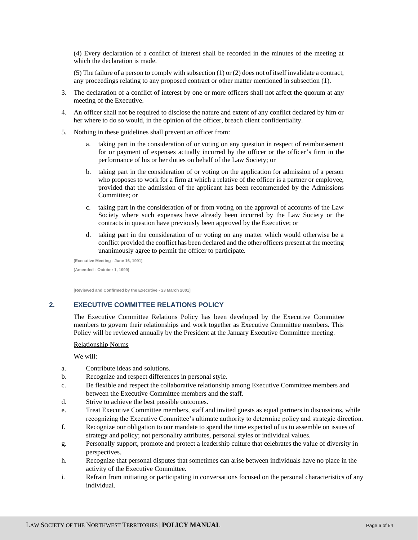(4) Every declaration of a conflict of interest shall be recorded in the minutes of the meeting at which the declaration is made.

(5) The failure of a person to comply with subsection (1) or (2) does not of itself invalidate a contract, any proceedings relating to any proposed contract or other matter mentioned in subsection (1).

- 3. The declaration of a conflict of interest by one or more officers shall not affect the quorum at any meeting of the Executive.
- 4. An officer shall not be required to disclose the nature and extent of any conflict declared by him or her where to do so would, in the opinion of the officer, breach client confidentiality.
- 5. Nothing in these guidelines shall prevent an officer from:
	- a. taking part in the consideration of or voting on any question in respect of reimbursement for or payment of expenses actually incurred by the officer or the officer's firm in the performance of his or her duties on behalf of the Law Society; or
	- b. taking part in the consideration of or voting on the application for admission of a person who proposes to work for a firm at which a relative of the officer is a partner or employee, provided that the admission of the applicant has been recommended by the Admissions Committee; or
	- c. taking part in the consideration of or from voting on the approval of accounts of the Law Society where such expenses have already been incurred by the Law Society or the contracts in question have previously been approved by the Executive; or
	- d. taking part in the consideration of or voting on any matter which would otherwise be a conflict provided the conflict has been declared and the other officers present at the meeting unanimously agree to permit the officer to participate.

**[Executive Meeting - June 16, 1991] [Amended - October 1, 1999]**

**[Reviewed and Confirmed by the Executive - 23 March 2001]**

#### <span id="page-5-0"></span>**2. EXECUTIVE COMMITTEE RELATIONS POLICY**

The Executive Committee Relations Policy has been developed by the Executive Committee members to govern their relationships and work together as Executive Committee members. This Policy will be reviewed annually by the President at the January Executive Committee meeting.

#### Relationship Norms

We will:

- a. Contribute ideas and solutions.
- b. Recognize and respect differences in personal style.
- c. Be flexible and respect the collaborative relationship among Executive Committee members and between the Executive Committee members and the staff.
- d. Strive to achieve the best possible outcomes.
- e. Treat Executive Committee members, staff and invited guests as equal partners in discussions, while recognizing the Executive Committee's ultimate authority to determine policy and strategic direction.
- f. Recognize our obligation to our mandate to spend the time expected of us to assemble on issues of strategy and policy; not personality attributes, personal styles or individual values.
- g. Personally support, promote and protect a leadership culture that celebrates the value of diversity in perspectives.
- h. Recognize that personal disputes that sometimes can arise between individuals have no place in the activity of the Executive Committee.
- i. Refrain from initiating or participating in conversations focused on the personal characteristics of any individual.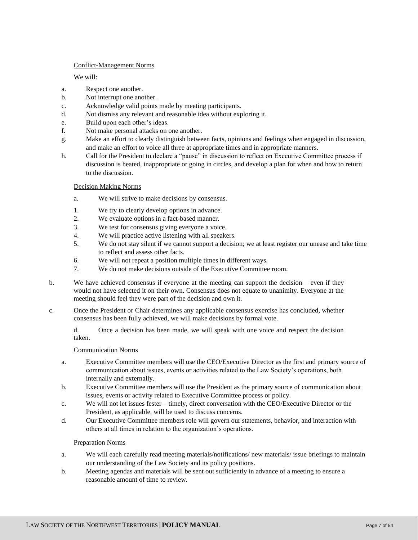# Conflict-Management Norms

# We will:

- a. Respect one another.
- b. Not interrupt one another.
- c. Acknowledge valid points made by meeting participants.
- d. Not dismiss any relevant and reasonable idea without exploring it.
- e. Build upon each other's ideas.
- f. Not make personal attacks on one another.
- g. Make an effort to clearly distinguish between facts, opinions and feelings when engaged in discussion, and make an effort to voice all three at appropriate times and in appropriate manners.
- h. Call for the President to declare a "pause" in discussion to reflect on Executive Committee process if discussion is heated, inappropriate or going in circles, and develop a plan for when and how to return to the discussion.

# Decision Making Norms

- a. We will strive to make decisions by consensus.
- 1. We try to clearly develop options in advance.
- 2. We evaluate options in a fact-based manner.
- 3. We test for consensus giving everyone a voice.
- 4. We will practice active listening with all speakers.
- 5. We do not stay silent if we cannot support a decision; we at least register our unease and take time to reflect and assess other facts.
- 6. We will not repeat a position multiple times in different ways.
- 7. We do not make decisions outside of the Executive Committee room.
- b. We have achieved consensus if everyone at the meeting can support the decision even if they would not have selected it on their own. Consensus does not equate to unanimity. Everyone at the meeting should feel they were part of the decision and own it.
- c. Once the President or Chair determines any applicable consensus exercise has concluded, whether consensus has been fully achieved, we will make decisions by formal vote.

d. Once a decision has been made, we will speak with one voice and respect the decision taken.

# Communication Norms

- a. Executive Committee members will use the CEO/Executive Director as the first and primary source of communication about issues, events or activities related to the Law Society's operations, both internally and externally.
- b. Executive Committee members will use the President as the primary source of communication about issues, events or activity related to Executive Committee process or policy.
- c. We will not let issues fester timely, direct conversation with the CEO/Executive Director or the President, as applicable, will be used to discuss concerns.
- d. Our Executive Committee members role will govern our statements, behavior, and interaction with others at all times in relation to the organization's operations.

# Preparation Norms

- a. We will each carefully read meeting materials/notifications/ new materials/ issue briefings to maintain our understanding of the Law Society and its policy positions.
- b. Meeting agendas and materials will be sent out sufficiently in advance of a meeting to ensure a reasonable amount of time to review.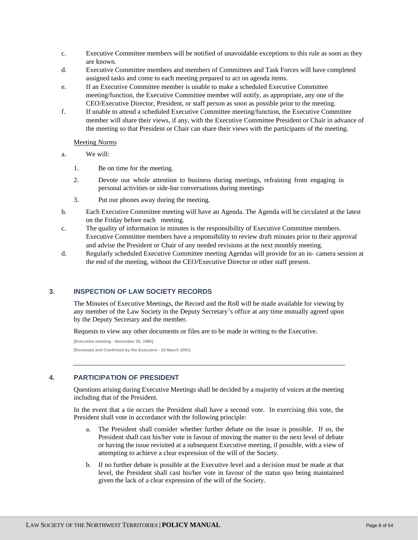- c. Executive Committee members will be notified of unavoidable exceptions to this rule as soon as they are known.
- d. Executive Committee members and members of Committees and Task Forces will have completed assigned tasks and come to each meeting prepared to act on agenda items.
- e. If an Executive Committee member is unable to make a scheduled Executive Committee meeting/function, the Executive Committee member will notify, as appropriate, any one of the CEO/Executive Director, President, or staff person as soon as possible prior to the meeting.
- f. If unable to attend a scheduled Executive Committee meeting/function, the Executive Committee member will share their views, if any, with the Executive Committee President or Chair in advance of the meeting so that President or Chair can share their views with the participants of the meeting.

Meeting Norms

- a. We will:
	- 1. Be on time for the meeting.
	- 2. Devote our whole attention to business during meetings, refraining from engaging in personal activities or side-bar conversations during meetings
	- 3. Put our phones away during the meeting.
- b. Each Executive Committee meeting will have an Agenda. The Agenda will be circulated at the latest on the Friday before each meeting.
- c. The quality of information in minutes is the responsibility of Executive Committee members. Executive Committee members have a responsibility to review draft minutes prior to their approval and advise the President or Chair of any needed revisions at the next monthly meeting.
- d. Regularly scheduled Executive Committee meeting Agendas will provide for an in- camera session at the end of the meeting, without the CEO/Executive Director or other staff present.

# <span id="page-7-0"></span>**3. INSPECTION OF LAW SOCIETY RECORDS**

The Minutes of Executive Meetings, the Record and the Roll will be made available for viewing by any member of the Law Society in the Deputy Secretary's office at any time mutually agreed upon by the Deputy Secretary and the member.

Requests to view any other documents or files are to be made in writing to the Executive.

**[Executive meeting - November 26, 1980] [Reviewed and Confirmed by the Executive - 23 March 2001]**

#### <span id="page-7-1"></span>**4. PARTICIPATION OF PRESIDENT**

Questions arising during Executive Meetings shall be decided by a majority of voices at the meeting including that of the President.

In the event that a tie occurs the President shall have a second vote. In exercising this vote, the President shall vote in accordance with the following principle:

- a. The President shall consider whether further debate on the issue is possible. If so, the President shall cast his/her vote in favour of moving the matter to the next level of debate or having the issue revisited at a subsequent Executive meeting, if possible, with a view of attempting to achieve a clear expression of the will of the Society.
- b. If no further debate is possible at the Executive level and a decision must be made at that level, the President shall cast his/her vote in favour of the status quo being maintained given the lack of a clear expression of the will of the Society.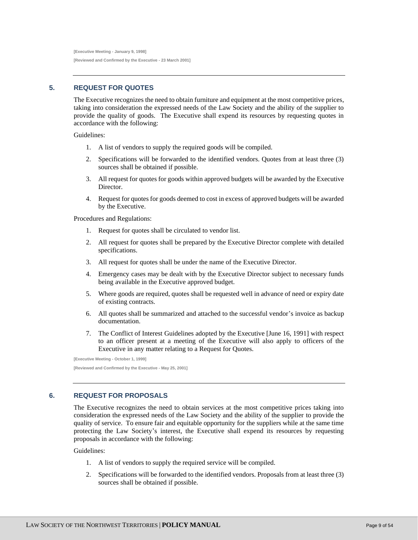**[Executive Meeting - January 9, 1998] [Reviewed and Confirmed by the Executive - 23 March 2001]**

# <span id="page-8-0"></span>**5. REQUEST FOR QUOTES**

The Executive recognizes the need to obtain furniture and equipment at the most competitive prices, taking into consideration the expressed needs of the Law Society and the ability of the supplier to provide the quality of goods. The Executive shall expend its resources by requesting quotes in accordance with the following:

Guidelines:

- 1. A list of vendors to supply the required goods will be compiled.
- 2. Specifications will be forwarded to the identified vendors. Quotes from at least three (3) sources shall be obtained if possible.
- 3. All request for quotes for goods within approved budgets will be awarded by the Executive Director.
- 4. Request for quotes for goods deemed to cost in excess of approved budgets will be awarded by the Executive.

Procedures and Regulations:

- 1. Request for quotes shall be circulated to vendor list.
- 2. All request for quotes shall be prepared by the Executive Director complete with detailed specifications.
- 3. All request for quotes shall be under the name of the Executive Director.
- 4. Emergency cases may be dealt with by the Executive Director subject to necessary funds being available in the Executive approved budget.
- 5. Where goods are required, quotes shall be requested well in advance of need or expiry date of existing contracts.
- 6. All quotes shall be summarized and attached to the successful vendor's invoice as backup documentation.
- 7. The Conflict of Interest Guidelines adopted by the Executive [June 16, 1991] with respect to an officer present at a meeting of the Executive will also apply to officers of the Executive in any matter relating to a Request for Quotes.

**[Executive Meeting - October 1, 1999] [Reviewed and Confirmed by the Executive - May 25, 2001]**

# <span id="page-8-1"></span>**6. REQUEST FOR PROPOSALS**

The Executive recognizes the need to obtain services at the most competitive prices taking into consideration the expressed needs of the Law Society and the ability of the supplier to provide the quality of service. To ensure fair and equitable opportunity for the suppliers while at the same time protecting the Law Society's interest, the Executive shall expend its resources by requesting proposals in accordance with the following:

# Guidelines:

- 1. A list of vendors to supply the required service will be compiled.
- 2. Specifications will be forwarded to the identified vendors. Proposals from at least three (3) sources shall be obtained if possible.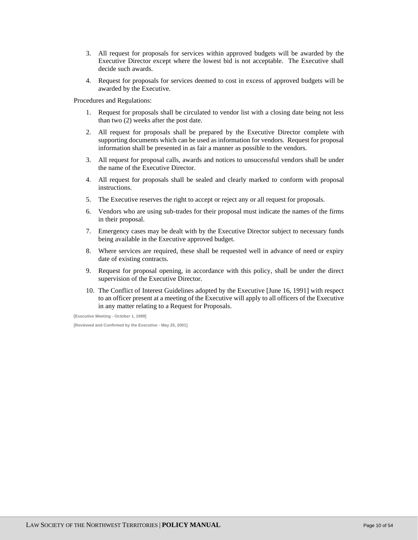- 3. All request for proposals for services within approved budgets will be awarded by the Executive Director except where the lowest bid is not acceptable. The Executive shall decide such awards.
- 4. Request for proposals for services deemed to cost in excess of approved budgets will be awarded by the Executive.

Procedures and Regulations:

- 1. Request for proposals shall be circulated to vendor list with a closing date being not less than two (2) weeks after the post date.
- 2. All request for proposals shall be prepared by the Executive Director complete with supporting documents which can be used as information for vendors. Request for proposal information shall be presented in as fair a manner as possible to the vendors.
- 3. All request for proposal calls, awards and notices to unsuccessful vendors shall be under the name of the Executive Director.
- 4. All request for proposals shall be sealed and clearly marked to conform with proposal instructions.
- 5. The Executive reserves the right to accept or reject any or all request for proposals.
- 6. Vendors who are using sub-trades for their proposal must indicate the names of the firms in their proposal.
- 7. Emergency cases may be dealt with by the Executive Director subject to necessary funds being available in the Executive approved budget.
- 8. Where services are required, these shall be requested well in advance of need or expiry date of existing contracts.
- 9. Request for proposal opening, in accordance with this policy, shall be under the direct supervision of the Executive Director.
- 10. The Conflict of Interest Guidelines adopted by the Executive [June 16, 1991] with respect to an officer present at a meeting of the Executive will apply to all officers of the Executive in any matter relating to a Request for Proposals.

**[Executive Meeting - October 1, 1999]**

**[Reviewed and Confirmed by the Executive - May 25, 2001]**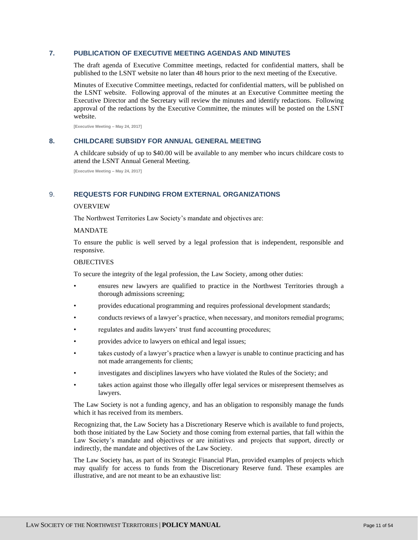# <span id="page-10-0"></span>**7. PUBLICATION OF EXECUTIVE MEETING AGENDAS AND MINUTES**

The draft agenda of Executive Committee meetings, redacted for confidential matters, shall be published to the LSNT website no later than 48 hours prior to the next meeting of the Executive.

Minutes of Executive Committee meetings, redacted for confidential matters, will be published on the LSNT website. Following approval of the minutes at an Executive Committee meeting the Executive Director and the Secretary will review the minutes and identify redactions. Following approval of the redactions by the Executive Committee, the minutes will be posted on the LSNT website.

**[Executive Meeting – May 24, 2017]**

#### <span id="page-10-1"></span>**8. CHILDCARE SUBSIDY FOR ANNUAL GENERAL MEETING**

A childcare subsidy of up to \$40.00 will be available to any member who incurs childcare costs to attend the LSNT Annual General Meeting.

**[Executive Meeting – May 24, 2017]**

#### <span id="page-10-2"></span>9. **REQUESTS FOR FUNDING FROM EXTERNAL ORGANIZATIONS**

#### OVERVIEW

The Northwest Territories Law Society's mandate and objectives are:

#### MANDATE

To ensure the public is well served by a legal profession that is independent, responsible and responsive.

#### OBJECTIVES

To secure the integrity of the legal profession, the Law Society, among other duties:

- ensures new lawyers are qualified to practice in the Northwest Territories through a thorough admissions screening;
- provides educational programming and requires professional development standards;
- conducts reviews of a lawyer's practice, when necessary, and monitors remedial programs;
- regulates and audits lawyers' trust fund accounting procedures;
- provides advice to lawyers on ethical and legal issues;
- takes custody of a lawyer's practice when a lawyer is unable to continue practicing and has not made arrangements for clients;
- investigates and disciplines lawyers who have violated the Rules of the Society; and
- takes action against those who illegally offer legal services or misrepresent themselves as lawyers.

The Law Society is not a funding agency, and has an obligation to responsibly manage the funds which it has received from its members.

Recognizing that, the Law Society has a Discretionary Reserve which is available to fund projects, both those initiated by the Law Society and those coming from external parties, that fall within the Law Society's mandate and objectives or are initiatives and projects that support, directly or indirectly, the mandate and objectives of the Law Society.

The Law Society has, as part of its Strategic Financial Plan, provided examples of projects which may qualify for access to funds from the Discretionary Reserve fund. These examples are illustrative, and are not meant to be an exhaustive list: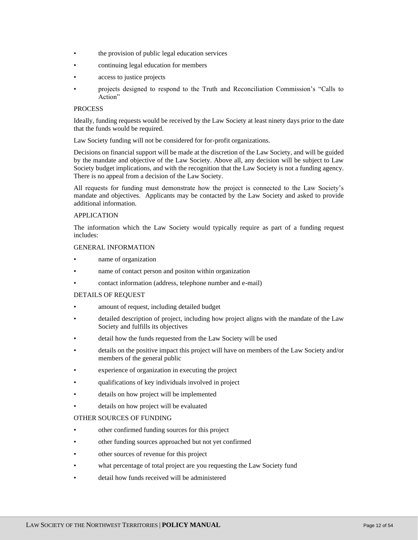- the provision of public legal education services
- continuing legal education for members
- access to justice projects
- projects designed to respond to the Truth and Reconciliation Commission's "Calls to Action"

# **PROCESS**

Ideally, funding requests would be received by the Law Society at least ninety days prior to the date that the funds would be required.

Law Society funding will not be considered for for-profit organizations.

Decisions on financial support will be made at the discretion of the Law Society, and will be guided by the mandate and objective of the Law Society. Above all, any decision will be subject to Law Society budget implications, and with the recognition that the Law Society is not a funding agency. There is no appeal from a decision of the Law Society.

All requests for funding must demonstrate how the project is connected to the Law Society's mandate and objectives. Applicants may be contacted by the Law Society and asked to provide additional information.

# APPLICATION

The information which the Law Society would typically require as part of a funding request includes:

#### GENERAL INFORMATION

- name of organization
- name of contact person and positon within organization
- contact information (address, telephone number and e-mail)

#### DETAILS OF REQUEST

- amount of request, including detailed budget
- detailed description of project, including how project aligns with the mandate of the Law Society and fulfills its objectives
- detail how the funds requested from the Law Society will be used
- details on the positive impact this project will have on members of the Law Society and/or members of the general public
- experience of organization in executing the project
- qualifications of key individuals involved in project
- details on how project will be implemented
- details on how project will be evaluated

# OTHER SOURCES OF FUNDING

- other confirmed funding sources for this project
- other funding sources approached but not yet confirmed
- other sources of revenue for this project
- what percentage of total project are you requesting the Law Society fund
- detail how funds received will be administered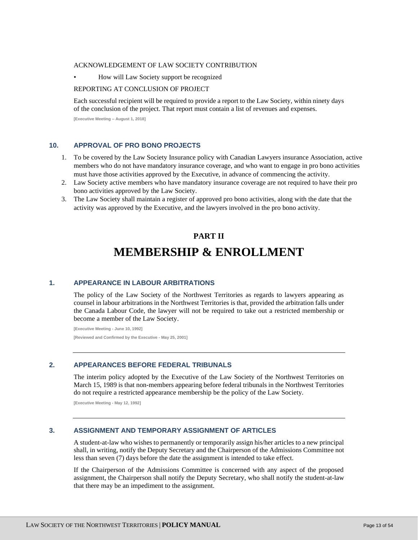#### ACKNOWLEDGEMENT OF LAW SOCIETY CONTRIBUTION

• How will Law Society support be recognized

#### REPORTING AT CONCLUSION OF PROJECT

Each successful recipient will be required to provide a report to the Law Society, within ninety days of the conclusion of the project. That report must contain a list of revenues and expenses.

**[Executive Meeting – August 1, 2018]**

#### <span id="page-12-0"></span>**10. APPROVAL OF PRO BONO PROJECTS**

- 1. To be covered by the Law Society Insurance policy with Canadian Lawyers insurance Association, active members who do not have mandatory insurance coverage, and who want to engage in pro bono activities must have those activities approved by the Executive, in advance of commencing the activity.
- 2. Law Society active members who have mandatory insurance coverage are not required to have their pro bono activities approved by the Law Society.
- <span id="page-12-1"></span>3. The Law Society shall maintain a register of approved pro bono activities, along with the date that the activity was approved by the Executive, and the lawyers involved in the pro bono activity.

# **PART II**

# **MEMBERSHIP & ENROLLMENT**

# <span id="page-12-3"></span><span id="page-12-2"></span>**1. APPEARANCE IN LABOUR ARBITRATIONS**

The policy of the Law Society of the Northwest Territories as regards to lawyers appearing as counsel in labour arbitrations in the Northwest Territories is that, provided the arbitration falls under the Canada Labour Code, the lawyer will not be required to take out a restricted membership or become a member of the Law Society.

**[Executive Meeting - June 10, 1992] [Reviewed and Confirmed by the Executive - May 25, 2001]**

# <span id="page-12-4"></span>**2. APPEARANCES BEFORE FEDERAL TRIBUNALS**

The interim policy adopted by the Executive of the Law Society of the Northwest Territories on March 15, 1989 is that non-members appearing before federal tribunals in the Northwest Territories do not require a restricted appearance membership be the policy of the Law Society.

**[Executive Meeting - May 12, 1992]**

#### <span id="page-12-5"></span>**3. ASSIGNMENT AND TEMPORARY ASSIGNMENT OF ARTICLES**

A student-at-law who wishes to permanently or temporarily assign his/her articles to a new principal shall, in writing, notify the Deputy Secretary and the Chairperson of the Admissions Committee not less than seven (7) days before the date the assignment is intended to take effect.

If the Chairperson of the Admissions Committee is concerned with any aspect of the proposed assignment, the Chairperson shall notify the Deputy Secretary, who shall notify the student-at-law that there may be an impediment to the assignment.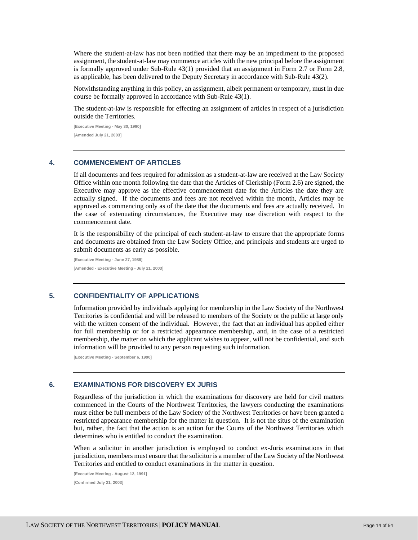Where the student-at-law has not been notified that there may be an impediment to the proposed assignment, the student-at-law may commence articles with the new principal before the assignment is formally approved under Sub-Rule 43(1) provided that an assignment in Form 2.7 or Form 2.8, as applicable, has been delivered to the Deputy Secretary in accordance with Sub-Rule 43(2).

Notwithstanding anything in this policy, an assignment, albeit permanent or temporary, must in due course be formally approved in accordance with Sub-Rule 43(1).

The student-at-law is responsible for effecting an assignment of articles in respect of a jurisdiction outside the Territories.

**[Executive Meeting - May 30, 1990] [Amended July 21, 2003]**

# <span id="page-13-0"></span>**4. COMMENCEMENT OF ARTICLES**

If all documents and fees required for admission as a student-at-law are received at the Law Society Office within one month following the date that the Articles of Clerkship (Form 2.6) are signed, the Executive may approve as the effective commencement date for the Articles the date they are actually signed. If the documents and fees are not received within the month, Articles may be approved as commencing only as of the date that the documents and fees are actually received. In the case of extenuating circumstances, the Executive may use discretion with respect to the commencement date.

It is the responsibility of the principal of each student-at-law to ensure that the appropriate forms and documents are obtained from the Law Society Office, and principals and students are urged to submit documents as early as possible.

**[Executive Meeting - June 27, 1988] [Amended - Executive Meeting - July 21, 2003]**

# <span id="page-13-1"></span>**5. CONFIDENTIALITY OF APPLICATIONS**

Information provided by individuals applying for membership in the Law Society of the Northwest Territories is confidential and will be released to members of the Society or the public at large only with the written consent of the individual. However, the fact that an individual has applied either for full membership or for a restricted appearance membership, and, in the case of a restricted membership, the matter on which the applicant wishes to appear, will not be confidential, and such information will be provided to any person requesting such information.

**[Executive Meeting - September 6, 1990]**

#### <span id="page-13-2"></span>**6. EXAMINATIONS FOR DISCOVERY EX JURIS**

Regardless of the jurisdiction in which the examinations for discovery are held for civil matters commenced in the Courts of the Northwest Territories, the lawyers conducting the examinations must either be full members of the Law Society of the Northwest Territories or have been granted a restricted appearance membership for the matter in question. It is not the situs of the examination but, rather, the fact that the action is an action for the Courts of the Northwest Territories which determines who is entitled to conduct the examination.

When a solicitor in another jurisdiction is employed to conduct ex-Juris examinations in that jurisdiction, members must ensure that the solicitor is a member of the Law Society of the Northwest Territories and entitled to conduct examinations in the matter in question.

**[Executive Meeting - August 12, 1991] [Confirmed July 21, 2003]**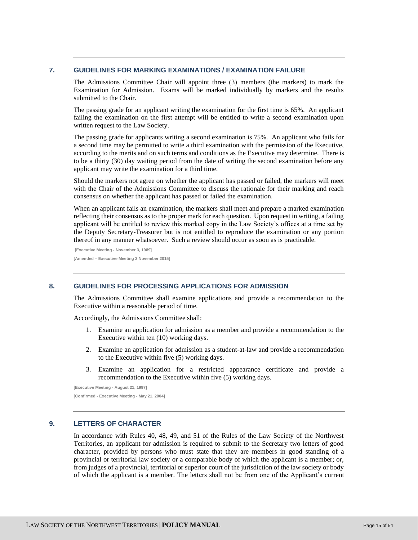#### <span id="page-14-0"></span>**7. GUIDELINES FOR MARKING EXAMINATIONS / EXAMINATION FAILURE**

The Admissions Committee Chair will appoint three (3) members (the markers) to mark the Examination for Admission. Exams will be marked individually by markers and the results submitted to the Chair.

The passing grade for an applicant writing the examination for the first time is 65%. An applicant failing the examination on the first attempt will be entitled to write a second examination upon written request to the Law Society.

The passing grade for applicants writing a second examination is 75%. An applicant who fails for a second time may be permitted to write a third examination with the permission of the Executive, according to the merits and on such terms and conditions as the Executive may determine. There is to be a thirty (30) day waiting period from the date of writing the second examination before any applicant may write the examination for a third time.

Should the markers not agree on whether the applicant has passed or failed, the markers will meet with the Chair of the Admissions Committee to discuss the rationale for their marking and reach consensus on whether the applicant has passed or failed the examination.

When an applicant fails an examination, the markers shall meet and prepare a marked examination reflecting their consensus as to the proper mark for each question. Upon request in writing, a failing applicant will be entitled to review this marked copy in the Law Society's offices at a time set by the Deputy Secretary-Treasurer but is not entitled to reproduce the examination or any portion thereof in any manner whatsoever. Such a review should occur as soon as is practicable.

**[Executive Meeting - November 3, 1989] [Amended – Executive Meeting 3 November 2015]**

#### <span id="page-14-1"></span>**8. GUIDELINES FOR PROCESSING APPLICATIONS FOR ADMISSION**

The Admissions Committee shall examine applications and provide a recommendation to the Executive within a reasonable period of time.

Accordingly, the Admissions Committee shall:

- 1. Examine an application for admission as a member and provide a recommendation to the Executive within ten (10) working days.
- 2. Examine an application for admission as a student-at-law and provide a recommendation to the Executive within five (5) working days.
- 3. Examine an application for a restricted appearance certificate and provide a recommendation to the Executive within five (5) working days.

**[Executive Meeting - August 21, 1997]**

**[Confirmed - Executive Meeting - May 21, 2004]**

# <span id="page-14-2"></span>**9. LETTERS OF CHARACTER**

In accordance with Rules 40, 48, 49, and 51 of the Rules of the Law Society of the Northwest Territories, an applicant for admission is required to submit to the Secretary two letters of good character, provided by persons who must state that they are members in good standing of a provincial or territorial law society or a comparable body of which the applicant is a member; or, from judges of a provincial, territorial or superior court of the jurisdiction of the law society or body of which the applicant is a member. The letters shall not be from one of the Applicant's current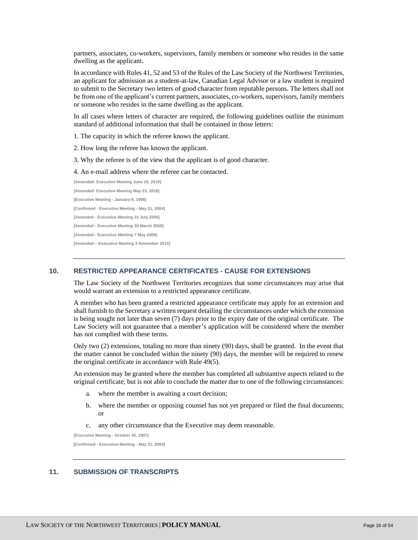partners, associates, co-workers, supervisors, family members or someone who resides in the same dwelling as the applicant.

In accordance with Rules 41, 52 and 53 of the Rules of the Law Society of the Northwest Territories, an applicant for admission as a student-at-law, Canadian Legal Advisor or a law student is required to submit to the Secretary two letters of good character from reputable persons. The letters shall not be from one of the applicant's current partners, associates, co-workers, supervisors, family members or someone who resides in the same dwelling as the applicant.

In all cases where letters of character are required, the following guidelines outline the minimum standard of additional information that shall be contained in those letters:

1. The capacity in which the referee knows the applicant.

2. How long the referee has known the applicant.

3. Why the referee is of the view that the applicant is of good character.

4. An e-mail address where the referee can be contacted.

**[Amended- Executive Meeting June 19, 2019] [Amended- Executive Meeting May 23, 2018] [Executive Meeting - January 9, 1998] [Confirmed - Executive Meeting - May 21, 2004] [Amended - Executive Meeting 31 July 2008] [Amended - Executive Meeting 30 March 2009] [Amended - Executive Meeting 7 May 2009] [Amended – Executive Meeting 3 November 2015]**

# <span id="page-15-0"></span>**10. RESTRICTED APPEARANCE CERTIFICATES - CAUSE FOR EXTENSIONS**

The Law Society of the Northwest Territories recognizes that some circumstances may arise that would warrant an extension to a restricted appearance certificate.

A member who has been granted a restricted appearance certificate may apply for an extension and shall furnish to the Secretary a written request detailing the circumstances under which the extension is being sought not later than seven (7) days prior to the expiry date of the original certificate. The Law Society will not guarantee that a member's application will be considered where the member has not complied with these terms.

Only two (2) extensions, totaling no more than ninety (90) days, shall be granted. In the event that the matter cannot be concluded within the ninety (90) days, the member will be required to renew the original certificate in accordance with Rule 49(5).

An extension may be granted where the member has completed all substantive aspects related to the original certificate, but is not able to conclude the matter due to one of the following circumstances:

- a. where the member is awaiting a court decision;
- b. where the member or opposing counsel has not yet prepared or filed the final documents; or
- c. any other circumstance that the Executive may deem reasonable.

**[Executive Meeting - October 30, 1997]**

**[Confirmed - Executive Meeting - May 21, 2004]**

# <span id="page-15-1"></span>**11. SUBMISSION OF TRANSCRIPTS**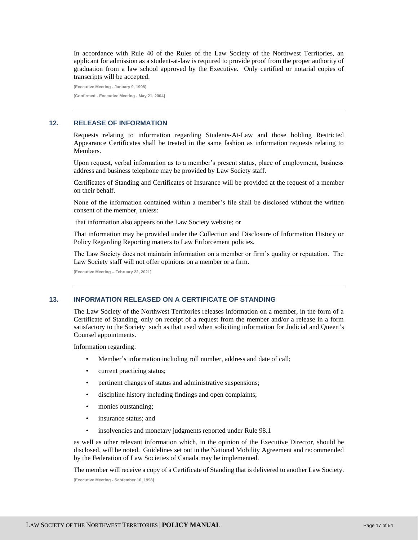In accordance with Rule 40 of the Rules of the Law Society of the Northwest Territories, an applicant for admission as a student-at-law is required to provide proof from the proper authority of graduation from a law school approved by the Executive. Only certified or notarial copies of transcripts will be accepted.

**[Executive Meeting - January 9, 1998] [Confirmed - Executive Meeting - May 21, 2004]**

# <span id="page-16-0"></span>**12. RELEASE OF INFORMATION**

Requests relating to information regarding Students-At-Law and those holding Restricted Appearance Certificates shall be treated in the same fashion as information requests relating to Members.

Upon request, verbal information as to a member's present status, place of employment, business address and business telephone may be provided by Law Society staff.

Certificates of Standing and Certificates of Insurance will be provided at the request of a member on their behalf.

None of the information contained within a member's file shall be disclosed without the written consent of the member, unless:

that information also appears on the Law Society website; or

That information may be provided under the Collection and Disclosure of Information History or Policy Regarding Reporting matters to Law Enforcement policies.

The Law Society does not maintain information on a member or firm's quality or reputation. The Law Society staff will not offer opinions on a member or a firm.

**[Executive Meeting – February 22, 2021]**

#### <span id="page-16-1"></span>**13. INFORMATION RELEASED ON A CERTIFICATE OF STANDING**

The Law Society of the Northwest Territories releases information on a member, in the form of a Certificate of Standing, only on receipt of a request from the member and/or a release in a form satisfactory to the Society such as that used when soliciting information for Judicial and Queen's Counsel appointments.

Information regarding:

- Member's information including roll number, address and date of call;
- current practicing status;
- pertinent changes of status and administrative suspensions;
- discipline history including findings and open complaints;
- monies outstanding;
- insurance status; and
- insolvencies and monetary judgments reported under Rule 98.1

as well as other relevant information which, in the opinion of the Executive Director, should be disclosed, will be noted. Guidelines set out in the National Mobility Agreement and recommended by the Federation of Law Societies of Canada may be implemented.

The member will receive a copy of a Certificate of Standing that is delivered to another Law Society.

**[Executive Meeting - September 16, 1998]**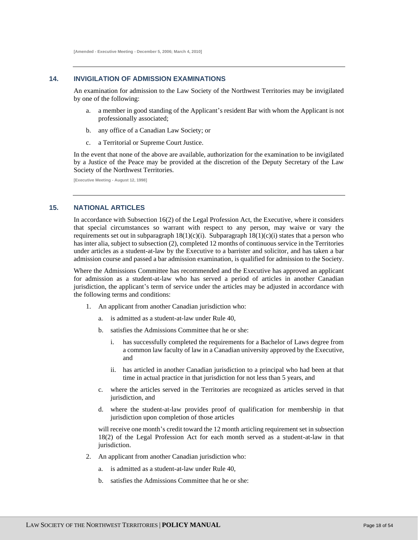**[Amended - Executive Meeting - December 5, 2006; March 4, 2010]**

# <span id="page-17-0"></span>**14. INVIGILATION OF ADMISSION EXAMINATIONS**

An examination for admission to the Law Society of the Northwest Territories may be invigilated by one of the following:

- a. a member in good standing of the Applicant's resident Bar with whom the Applicant is not professionally associated;
- b. any office of a Canadian Law Society; or
- c. a Territorial or Supreme Court Justice.

In the event that none of the above are available, authorization for the examination to be invigilated by a Justice of the Peace may be provided at the discretion of the Deputy Secretary of the Law Society of the Northwest Territories.

**[Executive Meeting - August 12, 1998]**

#### <span id="page-17-1"></span>**15. NATIONAL ARTICLES**

In accordance with Subsection 16(2) of the Legal Profession Act, the Executive, where it considers that special circumstances so warrant with respect to any person, may waive or vary the requirements set out in subparagraph  $18(1)(c)(i)$ . Subparagraph  $18(1)(c)(i)$  states that a person who has inter alia, subject to subsection (2), completed 12 months of continuous service in the Territories under articles as a student-at-law by the Executive to a barrister and solicitor, and has taken a bar admission course and passed a bar admission examination, is qualified for admission to the Society.

Where the Admissions Committee has recommended and the Executive has approved an applicant for admission as a student-at-law who has served a period of articles in another Canadian jurisdiction, the applicant's term of service under the articles may be adjusted in accordance with the following terms and conditions:

- 1. An applicant from another Canadian jurisdiction who:
	- a. is admitted as a student-at-law under Rule 40,
	- b. satisfies the Admissions Committee that he or she:
		- i. has successfully completed the requirements for a Bachelor of Laws degree from a common law faculty of law in a Canadian university approved by the Executive, and
		- ii. has articled in another Canadian jurisdiction to a principal who had been at that time in actual practice in that jurisdiction for not less than 5 years, and
	- c. where the articles served in the Territories are recognized as articles served in that jurisdiction, and
	- d. where the student-at-law provides proof of qualification for membership in that jurisdiction upon completion of those articles

will receive one month's credit toward the 12 month articling requirement set in subsection 18(2) of the Legal Profession Act for each month served as a student-at-law in that jurisdiction.

- 2. An applicant from another Canadian jurisdiction who:
	- a. is admitted as a student-at-law under Rule 40,
	- b. satisfies the Admissions Committee that he or she: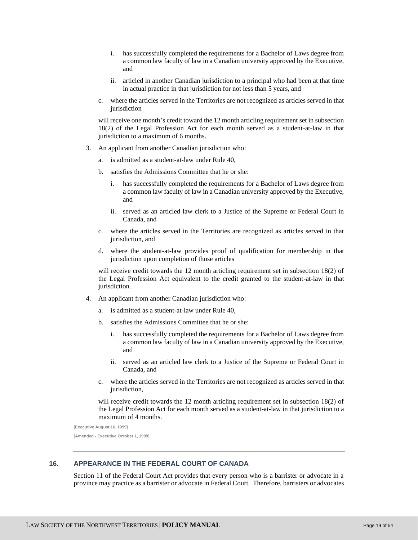- i. has successfully completed the requirements for a Bachelor of Laws degree from a common law faculty of law in a Canadian university approved by the Executive, and
- ii. articled in another Canadian jurisdiction to a principal who had been at that time in actual practice in that jurisdiction for not less than 5 years, and
- c. where the articles served in the Territories are not recognized as articles served in that jurisdiction

will receive one month's credit toward the 12 month articling requirement set in subsection 18(2) of the Legal Profession Act for each month served as a student-at-law in that jurisdiction to a maximum of 6 months.

- 3. An applicant from another Canadian jurisdiction who:
	- a. is admitted as a student-at-law under Rule 40,
	- b. satisfies the Admissions Committee that he or she:
		- i. has successfully completed the requirements for a Bachelor of Laws degree from a common law faculty of law in a Canadian university approved by the Executive, and
		- ii. served as an articled law clerk to a Justice of the Supreme or Federal Court in Canada, and
	- c. where the articles served in the Territories are recognized as articles served in that jurisdiction, and
	- d. where the student-at-law provides proof of qualification for membership in that jurisdiction upon completion of those articles

will receive credit towards the 12 month articling requirement set in subsection 18(2) of the Legal Profession Act equivalent to the credit granted to the student-at-law in that jurisdiction.

- 4. An applicant from another Canadian jurisdiction who:
	- a. is admitted as a student-at-law under Rule 40,
	- b. satisfies the Admissions Committee that he or she:
		- has successfully completed the requirements for a Bachelor of Laws degree from a common law faculty of law in a Canadian university approved by the Executive, and
		- ii. served as an articled law clerk to a Justice of the Supreme or Federal Court in Canada, and
	- c. where the articles served in the Territories are not recognized as articles served in that jurisdiction,

will receive credit towards the 12 month articling requirement set in subsection 18(2) of the Legal Profession Act for each month served as a student-at-law in that jurisdiction to a maximum of 4 months.

**[Executive August 16, 1999] [Amended - Executive October 1, 1999]**

# <span id="page-18-0"></span>**16. APPEARANCE IN THE FEDERAL COURT OF CANADA**

Section 11 of the Federal Court Act provides that every person who is a barrister or advocate in a province may practice as a barrister or advocate in Federal Court. Therefore, barristers or advocates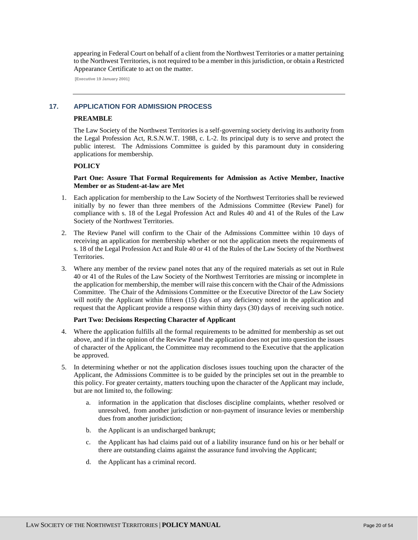appearing in Federal Court on behalf of a client from the Northwest Territories or a matter pertaining to the Northwest Territories, is not required to be a member in this jurisdiction, or obtain a Restricted Appearance Certificate to act on the matter.

**[Executive 19 January 2001]**

# <span id="page-19-0"></span>**17. APPLICATION FOR ADMISSION PROCESS**

# **PREAMBLE**

The Law Society of the Northwest Territories is a self-governing society deriving its authority from the Legal Profession Act, R.S.N.W.T. 1988, c. L-2. Its principal duty is to serve and protect the public interest. The Admissions Committee is guided by this paramount duty in considering applications for membership.

# **POLICY**

# **Part One: Assure That Formal Requirements for Admission as Active Member, Inactive Member or as Student-at-law are Met**

- 1. Each application for membership to the Law Society of the Northwest Territories shall be reviewed initially by no fewer than three members of the Admissions Committee (Review Panel) for compliance with s. 18 of the Legal Profession Act and Rules 40 and 41 of the Rules of the Law Society of the Northwest Territories.
- 2. The Review Panel will confirm to the Chair of the Admissions Committee within 10 days of receiving an application for membership whether or not the application meets the requirements of s. 18 of the Legal Profession Act and Rule 40 or 41 of the Rules of the Law Society of the Northwest Territories.
- 3. Where any member of the review panel notes that any of the required materials as set out in Rule 40 or 41 of the Rules of the Law Society of the Northwest Territories are missing or incomplete in the application for membership, the member will raise this concern with the Chair of the Admissions Committee. The Chair of the Admissions Committee or the Executive Director of the Law Society will notify the Applicant within fifteen (15) days of any deficiency noted in the application and request that the Applicant provide a response within thirty days (30) days of receiving such notice.

#### **Part Two: Decisions Respecting Character of Applicant**

- 4. Where the application fulfills all the formal requirements to be admitted for membership as set out above, and if in the opinion of the Review Panel the application does not put into question the issues of character of the Applicant, the Committee may recommend to the Executive that the application be approved.
- 5. In determining whether or not the application discloses issues touching upon the character of the Applicant, the Admissions Committee is to be guided by the principles set out in the preamble to this policy. For greater certainty, matters touching upon the character of the Applicant may include, but are not limited to, the following:
	- a. information in the application that discloses discipline complaints, whether resolved or unresolved, from another jurisdiction or non-payment of insurance levies or membership dues from another jurisdiction;
	- b. the Applicant is an undischarged bankrupt;
	- c. the Applicant has had claims paid out of a liability insurance fund on his or her behalf or there are outstanding claims against the assurance fund involving the Applicant;
	- d. the Applicant has a criminal record.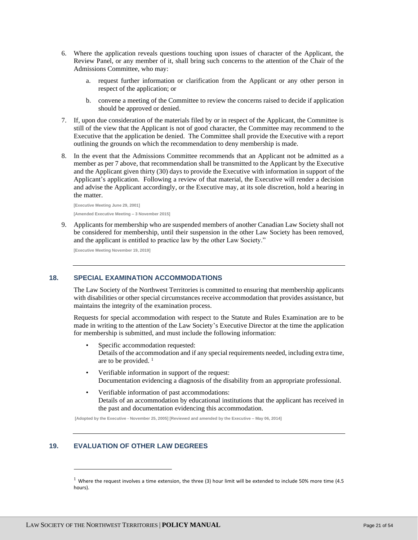- 6. Where the application reveals questions touching upon issues of character of the Applicant, the Review Panel, or any member of it, shall bring such concerns to the attention of the Chair of the Admissions Committee, who may:
	- a. request further information or clarification from the Applicant or any other person in respect of the application; or
	- b. convene a meeting of the Committee to review the concerns raised to decide if application should be approved or denied.
- 7. If, upon due consideration of the materials filed by or in respect of the Applicant, the Committee is still of the view that the Applicant is not of good character, the Committee may recommend to the Executive that the application be denied. The Committee shall provide the Executive with a report outlining the grounds on which the recommendation to deny membership is made.
- 8. In the event that the Admissions Committee recommends that an Applicant not be admitted as a member as per 7 above, that recommendation shall be transmitted to the Applicant by the Executive and the Applicant given thirty (30) days to provide the Executive with information in support of the Applicant's application. Following a review of that material, the Executive will render a decision and advise the Applicant accordingly, or the Executive may, at its sole discretion, hold a hearing in the matter.

**[Executive Meeting June 29, 2001] [Amended Executive Meeting – 3 November 2015]**

9. Applicants for membership who are suspended members of another Canadian Law Society shall not be considered for membership, until their suspension in the other Law Society has been removed, and the applicant is entitled to practice law by the other Law Society."

**[Executive Meeting November 19, 2019]**

#### <span id="page-20-0"></span>**18. SPECIAL EXAMINATION ACCOMMODATIONS**

The Law Society of the Northwest Territories is committed to ensuring that membership applicants with disabilities or other special circumstances receive accommodation that provides assistance, but maintains the integrity of the examination process.

Requests for special accommodation with respect to the Statute and Rules Examination are to be made in writing to the attention of the Law Society's Executive Director at the time the application for membership is submitted, and must include the following information:

- Specific accommodation requested: Details of the accommodation and if any special requirements needed, including extra time, are to be provided.<sup>1</sup>
- Verifiable information in support of the request: Documentation evidencing a diagnosis of the disability from an appropriate professional.
- Verifiable information of past accommodations: Details of an accommodation by educational institutions that the applicant has received in the past and documentation evidencing this accommodation.

**[Adopted by the Executive - November 25, 2005] [Reviewed and amended by the Executive – May 06, 2014]**

# <span id="page-20-1"></span>**19. EVALUATION OF OTHER LAW DEGREES**

 $1$  Where the request involves a time extension, the three (3) hour limit will be extended to include 50% more time (4.5 hours).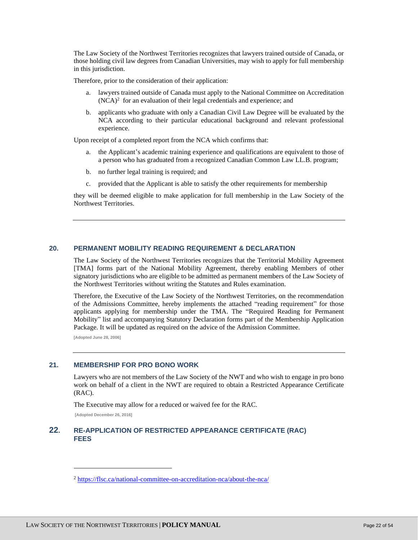The Law Society of the Northwest Territories recognizes that lawyers trained outside of Canada, or those holding civil law degrees from Canadian Universities, may wish to apply for full membership in this jurisdiction.

Therefore, prior to the consideration of their application:

- a. lawyers trained outside of Canada must apply to the National Committee on Accreditation  $(NCA)^2$  for an evaluation of their legal credentials and experience; and
- b. applicants who graduate with only a Canadian Civil Law Degree will be evaluated by the NCA according to their particular educational background and relevant professional experience.

Upon receipt of a completed report from the NCA which confirms that:

- a. the Applicant's academic training experience and qualifications are equivalent to those of a person who has graduated from a recognized Canadian Common Law LL.B. program;
- b. no further legal training is required; and
- c. provided that the Applicant is able to satisfy the other requirements for membership

they will be deemed eligible to make application for full membership in the Law Society of the Northwest Territories.

# <span id="page-21-0"></span>**20. PERMANENT MOBILITY READING REQUIREMENT & DECLARATION**

The Law Society of the Northwest Territories recognizes that the Territorial Mobility Agreement [TMA] forms part of the National Mobility Agreement, thereby enabling Members of other signatory jurisdictions who are eligible to be admitted as permanent members of the Law Society of the Northwest Territories without writing the Statutes and Rules examination.

Therefore, the Executive of the Law Society of the Northwest Territories, on the recommendation of the Admissions Committee, hereby implements the attached "reading requirement" for those applicants applying for membership under the TMA. The "Required Reading for Permanent Mobility" list and accompanying Statutory Declaration forms part of the Membership Application Package. It will be updated as required on the advice of the Admission Committee.

**[Adopted June 28, 2006]**

# <span id="page-21-1"></span>**21. MEMBERSHIP FOR PRO BONO WORK**

Lawyers who are not members of the Law Society of the NWT and who wish to engage in pro bono work on behalf of a client in the NWT are required to obtain a Restricted Appearance Certificate (RAC).

The Executive may allow for a reduced or waived fee for the RAC.

**[Adopted December 26, 2016]**

# <span id="page-21-2"></span>**22. RE-APPLICATION OF RESTRICTED APPEARANCE CERTIFICATE (RAC) FEES**

<sup>2</sup> <https://flsc.ca/national-committee-on-accreditation-nca/about-the-nca/>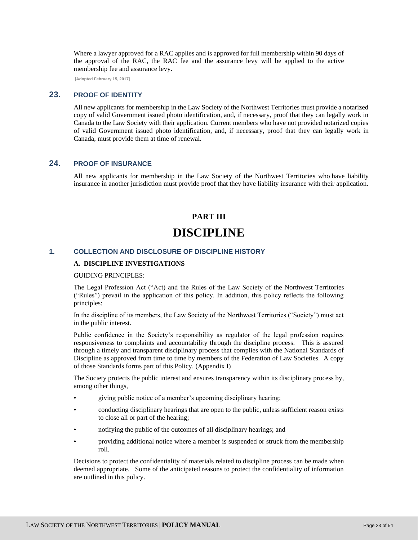Where a lawyer approved for a RAC applies and is approved for full membership within 90 days of the approval of the RAC, the RAC fee and the assurance levy will be applied to the active membership fee and assurance levy.

**[Adopted February 15, 2017]**

# <span id="page-22-0"></span>**23. PROOF OF IDENTITY**

All new applicants for membership in the Law Society of the Northwest Territories must provide a notarized copy of valid Government issued photo identification, and, if necessary, proof that they can legally work in Canada to the Law Society with their application. Current members who have not provided notarized copies of valid Government issued photo identification, and, if necessary, proof that they can legally work in Canada, must provide them at time of renewal.

# <span id="page-22-1"></span>**24**. **PROOF OF INSURANCE**

All new applicants for membership in the Law Society of the Northwest Territories who have liability insurance in another jurisdiction must provide proof that they have liability insurance with their application.

# **PART III DISCIPLINE**

# <span id="page-22-4"></span><span id="page-22-3"></span><span id="page-22-2"></span>**1. COLLECTION AND DISCLOSURE OF DISCIPLINE HISTORY**

#### **A. DISCIPLINE INVESTIGATIONS**

GUIDING PRINCIPLES:

The Legal Profession Act ("Act) and the Rules of the Law Society of the Northwest Territories ("Rules") prevail in the application of this policy. In addition, this policy reflects the following principles:

In the discipline of its members, the Law Society of the Northwest Territories ("Society") must act in the public interest.

Public confidence in the Society's responsibility as regulator of the legal profession requires responsiveness to complaints and accountability through the discipline process. This is assured through a timely and transparent disciplinary process that complies with the National Standards of Discipline as approved from time to time by members of the Federation of Law Societies. A copy of those Standards forms part of this Policy. (Appendix I)

The Society protects the public interest and ensures transparency within its disciplinary process by, among other things,

- giving public notice of a member's upcoming disciplinary hearing;
- conducting disciplinary hearings that are open to the public, unless sufficient reason exists to close all or part of the hearing;
- notifying the public of the outcomes of all disciplinary hearings; and
- providing additional notice where a member is suspended or struck from the membership roll.

Decisions to protect the confidentiality of materials related to discipline process can be made when deemed appropriate. Some of the anticipated reasons to protect the confidentiality of information are outlined in this policy.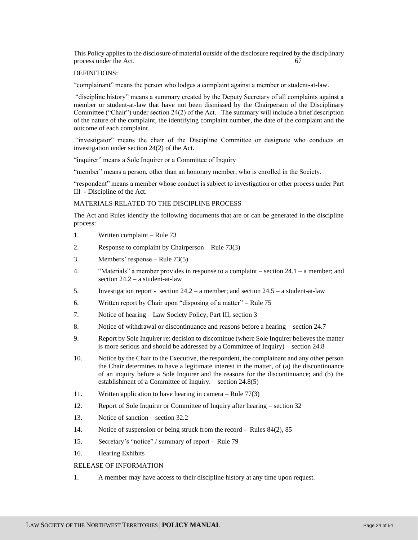This Policy applies to the disclosure of material outside of the disclosure required by the disciplinary process under the Act. 67

#### DEFINITIONS:

"complainant" means the person who lodges a complaint against a member or student-at-law.

"discipline history" means a summary created by the Deputy Secretary of all complaints against a member or student-at-law that have not been dismissed by the Chairperson of the Disciplinary Committee ("Chair") under section 24(2) of the Act. The summary will include a brief description of the nature of the complaint, the identifying complaint number, the date of the complaint and the outcome of each complaint.

"investigator" means the chair of the Discipline Committee or designate who conducts an investigation under section 24(2) of the Act.

"inquirer" means a Sole Inquirer or a Committee of Inquiry

"member" means a person, other than an honorary member, who is enrolled in the Society.

"respondent" means a member whose conduct is subject to investigation or other process under Part III - Discipline of the Act.

#### MATERIALS RELATED TO THE DISCIPLINE PROCESS

The Act and Rules identify the following documents that are or can be generated in the discipline process:

- 1. Written complaint Rule 73
- 2. Response to complaint by Chairperson Rule 73(3)
- 3. Members' response Rule 73(5)
- 4. "Materials" a member provides in response to a complaint section 24.1 a member; and section 24.2 – a student-at-law
- 5. Investigation report section 24.2 a member; and section 24.5 a student-at-law
- 6. Written report by Chair upon "disposing of a matter" Rule 75
- 7. Notice of hearing Law Society Policy, Part III, section 3
- 8. Notice of withdrawal or discontinuance and reasons before a hearing section 24.7
- 9. Report by Sole Inquirer re: decision to discontinue (where Sole Inquirer believes the matter is more serious and should be addressed by a Committee of Inquiry) – section 24.8
- 10. Notice by the Chair to the Executive, the respondent, the complainant and any other person the Chair determines to have a legitimate interest in the matter, of (a) the discontinuance of an inquiry before a Sole Inquirer and the reasons for the discontinuance; and (b) the establishment of a Committee of Inquiry. – section 24.8(5)
- 11. Written application to have hearing in camera Rule 77(3)
- 12. Report of Sole Inquirer or Committee of Inquiry after hearing section 32
- 13. Notice of sanction section 32.2
- 14. Notice of suspension or being struck from the record Rules 84(2), 85
- 15. Secretary's "notice" / summary of report Rule 79
- 16. Hearing Exhibits

#### RELEASE OF INFORMATION

1. A member may have access to their discipline history at any time upon request.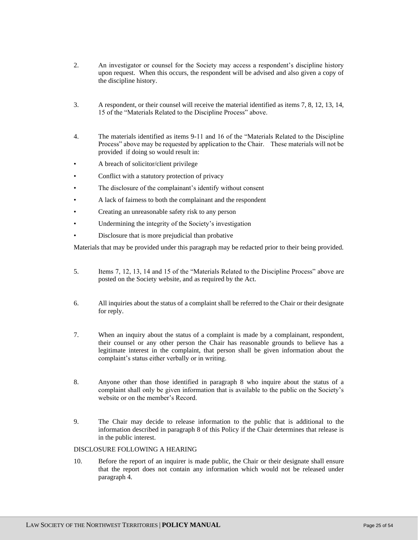- 2. An investigator or counsel for the Society may access a respondent's discipline history upon request. When this occurs, the respondent will be advised and also given a copy of the discipline history.
- 3. A respondent, or their counsel will receive the material identified as items 7, 8, 12, 13, 14, 15 of the "Materials Related to the Discipline Process" above.
- 4. The materials identified as items 9-11 and 16 of the "Materials Related to the Discipline Process" above may be requested by application to the Chair. These materials will not be provided if doing so would result in:
- A breach of solicitor/client privilege
- Conflict with a statutory protection of privacy
- The disclosure of the complainant's identify without consent
- A lack of fairness to both the complainant and the respondent
- Creating an unreasonable safety risk to any person
- Undermining the integrity of the Society's investigation
- Disclosure that is more prejudicial than probative

Materials that may be provided under this paragraph may be redacted prior to their being provided.

- 5. Items 7, 12, 13, 14 and 15 of the "Materials Related to the Discipline Process" above are posted on the Society website, and as required by the Act.
- 6. All inquiries about the status of a complaint shall be referred to the Chair or their designate for reply.
- 7. When an inquiry about the status of a complaint is made by a complainant, respondent, their counsel or any other person the Chair has reasonable grounds to believe has a legitimate interest in the complaint, that person shall be given information about the complaint's status either verbally or in writing.
- 8. Anyone other than those identified in paragraph 8 who inquire about the status of a complaint shall only be given information that is available to the public on the Society's website or on the member's Record.
- 9. The Chair may decide to release information to the public that is additional to the information described in paragraph 8 of this Policy if the Chair determines that release is in the public interest.

# DISCLOSURE FOLLOWING A HEARING

10. Before the report of an inquirer is made public, the Chair or their designate shall ensure that the report does not contain any information which would not be released under paragraph 4.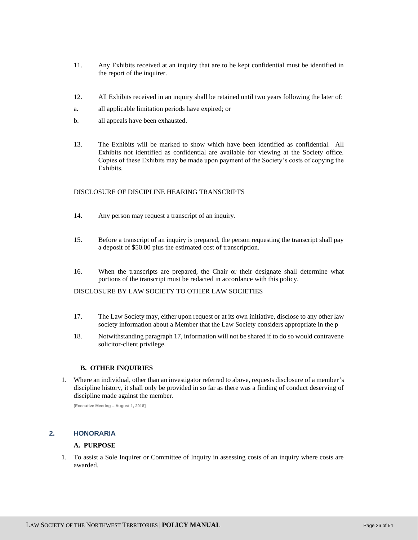- 11. Any Exhibits received at an inquiry that are to be kept confidential must be identified in the report of the inquirer.
- 12. All Exhibits received in an inquiry shall be retained until two years following the later of:
- a. all applicable limitation periods have expired; or
- b. all appeals have been exhausted.
- 13. The Exhibits will be marked to show which have been identified as confidential. All Exhibits not identified as confidential are available for viewing at the Society office. Copies of these Exhibits may be made upon payment of the Society's costs of copying the Exhibits.

# DISCLOSURE OF DISCIPLINE HEARING TRANSCRIPTS

- 14. Any person may request a transcript of an inquiry.
- 15. Before a transcript of an inquiry is prepared, the person requesting the transcript shall pay a deposit of \$50.00 plus the estimated cost of transcription.
- 16. When the transcripts are prepared, the Chair or their designate shall determine what portions of the transcript must be redacted in accordance with this policy.

#### DISCLOSURE BY LAW SOCIETY TO OTHER LAW SOCIETIES

- 17. The Law Society may, either upon request or at its own initiative, disclose to any other law society information about a Member that the Law Society considers appropriate in the p
- 18. Notwithstanding paragraph 17, information will not be shared if to do so would contravene solicitor-client privilege.

# **B. OTHER INQUIRIES**

1. Where an individual, other than an investigator referred to above, requests disclosure of a member's discipline history, it shall only be provided in so far as there was a finding of conduct deserving of discipline made against the member.

**[Executive Meeting – August 1, 2018]**

# <span id="page-25-0"></span>**2. HONORARIA**

#### **A. PURPOSE**

1. To assist a Sole Inquirer or Committee of Inquiry in assessing costs of an inquiry where costs are awarded.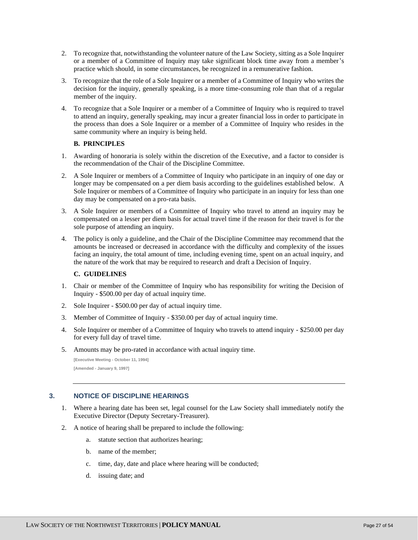- 2. To recognize that, notwithstanding the volunteer nature of the Law Society, sitting as a Sole Inquirer or a member of a Committee of Inquiry may take significant block time away from a member's practice which should, in some circumstances, be recognized in a remunerative fashion.
- 3. To recognize that the role of a Sole Inquirer or a member of a Committee of Inquiry who writes the decision for the inquiry, generally speaking, is a more time-consuming role than that of a regular member of the inquiry.
- 4. To recognize that a Sole Inquirer or a member of a Committee of Inquiry who is required to travel to attend an inquiry, generally speaking, may incur a greater financial loss in order to participate in the process than does a Sole Inquirer or a member of a Committee of Inquiry who resides in the same community where an inquiry is being held.

# **B. PRINCIPLES**

- 1. Awarding of honoraria is solely within the discretion of the Executive, and a factor to consider is the recommendation of the Chair of the Discipline Committee.
- 2. A Sole Inquirer or members of a Committee of Inquiry who participate in an inquiry of one day or longer may be compensated on a per diem basis according to the guidelines established below. A Sole Inquirer or members of a Committee of Inquiry who participate in an inquiry for less than one day may be compensated on a pro-rata basis.
- 3. A Sole Inquirer or members of a Committee of Inquiry who travel to attend an inquiry may be compensated on a lesser per diem basis for actual travel time if the reason for their travel is for the sole purpose of attending an inquiry.
- 4. The policy is only a guideline, and the Chair of the Discipline Committee may recommend that the amounts be increased or decreased in accordance with the difficulty and complexity of the issues facing an inquiry, the total amount of time, including evening time, spent on an actual inquiry, and the nature of the work that may be required to research and draft a Decision of Inquiry.

# **C. GUIDELINES**

- 1. Chair or member of the Committee of Inquiry who has responsibility for writing the Decision of Inquiry - \$500.00 per day of actual inquiry time.
- 2. Sole Inquirer \$500.00 per day of actual inquiry time.
- 3. Member of Committee of Inquiry \$350.00 per day of actual inquiry time.
- 4. Sole Inquirer or member of a Committee of Inquiry who travels to attend inquiry \$250.00 per day for every full day of travel time.
- 5. Amounts may be pro-rated in accordance with actual inquiry time.

# <span id="page-26-0"></span>**3. NOTICE OF DISCIPLINE HEARINGS**

- 1. Where a hearing date has been set, legal counsel for the Law Society shall immediately notify the Executive Director (Deputy Secretary-Treasurer).
- 2. A notice of hearing shall be prepared to include the following:
	- a. statute section that authorizes hearing;
	- b. name of the member;
	- c. time, day, date and place where hearing will be conducted;
	- d. issuing date; and

**<sup>[</sup>Executive Meeting - October 11, 1994] [Amended - January 9, 1997]**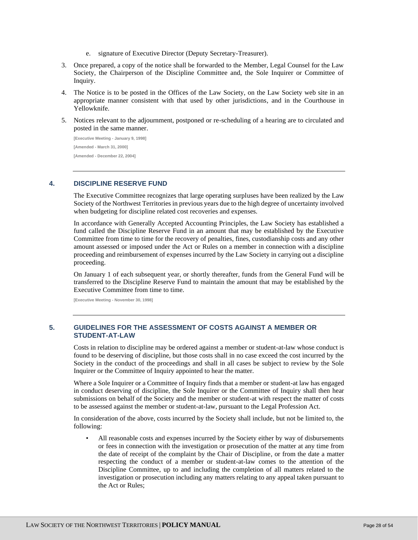- e. signature of Executive Director (Deputy Secretary-Treasurer).
- 3. Once prepared, a copy of the notice shall be forwarded to the Member, Legal Counsel for the Law Society, the Chairperson of the Discipline Committee and, the Sole Inquirer or Committee of Inquiry.
- 4. The Notice is to be posted in the Offices of the Law Society, on the Law Society web site in an appropriate manner consistent with that used by other jurisdictions, and in the Courthouse in Yellowknife.
- 5. Notices relevant to the adjournment, postponed or re-scheduling of a hearing are to circulated and posted in the same manner.

**[Executive Meeting - January 9, 1998] [Amended - March 31, 2000] [Amended - December 22, 2004]**

# <span id="page-27-0"></span>**4. DISCIPLINE RESERVE FUND**

The Executive Committee recognizes that large operating surpluses have been realized by the Law Society of the Northwest Territories in previous years due to the high degree of uncertainty involved when budgeting for discipline related cost recoveries and expenses.

In accordance with Generally Accepted Accounting Principles, the Law Society has established a fund called the Discipline Reserve Fund in an amount that may be established by the Executive Committee from time to time for the recovery of penalties, fines, custodianship costs and any other amount assessed or imposed under the Act or Rules on a member in connection with a discipline proceeding and reimbursement of expenses incurred by the Law Society in carrying out a discipline proceeding.

On January 1 of each subsequent year, or shortly thereafter, funds from the General Fund will be transferred to the Discipline Reserve Fund to maintain the amount that may be established by the Executive Committee from time to time.

**[Executive Meeting - November 30, 1998]**

# <span id="page-27-1"></span>**5. GUIDELINES FOR THE ASSESSMENT OF COSTS AGAINST A MEMBER OR STUDENT-AT-LAW**

Costs in relation to discipline may be ordered against a member or student-at-law whose conduct is found to be deserving of discipline, but those costs shall in no case exceed the cost incurred by the Society in the conduct of the proceedings and shall in all cases be subject to review by the Sole Inquirer or the Committee of Inquiry appointed to hear the matter.

Where a Sole Inquirer or a Committee of Inquiry finds that a member or student-at law has engaged in conduct deserving of discipline, the Sole Inquirer or the Committee of Inquiry shall then hear submissions on behalf of the Society and the member or student-at with respect the matter of costs to be assessed against the member or student-at-law, pursuant to the Legal Profession Act.

In consideration of the above, costs incurred by the Society shall include, but not be limited to, the following:

• All reasonable costs and expenses incurred by the Society either by way of disbursements or fees in connection with the investigation or prosecution of the matter at any time from the date of receipt of the complaint by the Chair of Discipline, or from the date a matter respecting the conduct of a member or student-at-law comes to the attention of the Discipline Committee, up to and including the completion of all matters related to the investigation or prosecution including any matters relating to any appeal taken pursuant to the Act or Rules;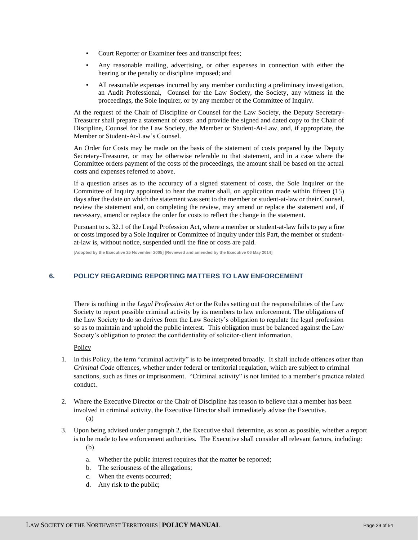- Court Reporter or Examiner fees and transcript fees;
- Any reasonable mailing, advertising, or other expenses in connection with either the hearing or the penalty or discipline imposed; and
- All reasonable expenses incurred by any member conducting a preliminary investigation, an Audit Professional, Counsel for the Law Society, the Society, any witness in the proceedings, the Sole Inquirer, or by any member of the Committee of Inquiry.

At the request of the Chair of Discipline or Counsel for the Law Society, the Deputy Secretary-Treasurer shall prepare a statement of costs and provide the signed and dated copy to the Chair of Discipline, Counsel for the Law Society, the Member or Student-At-Law, and, if appropriate, the Member or Student-At-Law's Counsel.

An Order for Costs may be made on the basis of the statement of costs prepared by the Deputy Secretary-Treasurer, or may be otherwise referable to that statement, and in a case where the Committee orders payment of the costs of the proceedings, the amount shall be based on the actual costs and expenses referred to above.

If a question arises as to the accuracy of a signed statement of costs, the Sole Inquirer or the Committee of Inquiry appointed to hear the matter shall, on application made within fifteen (15) days after the date on which the statement was sent to the member or student-at-law or their Counsel, review the statement and, on completing the review, may amend or replace the statement and, if necessary, amend or replace the order for costs to reflect the change in the statement.

Pursuant to s. 32.1 of the Legal Profession Act, where a member or student-at-law fails to pay a fine or costs imposed by a Sole Inquirer or Committee of Inquiry under this Part, the member or studentat-law is, without notice, suspended until the fine or costs are paid.

**[Adopted by the Executive 25 November 2005] [Reviewed and amended by the Executive 06 May 2014]**

# <span id="page-28-0"></span>**6. POLICY REGARDING REPORTING MATTERS TO LAW ENFORCEMENT**

There is nothing in the *Legal Profession Act* or the Rules setting out the responsibilities of the Law Society to report possible criminal activity by its members to law enforcement. The obligations of the Law Society to do so derives from the Law Society's obligation to regulate the legal profession so as to maintain and uphold the public interest. This obligation must be balanced against the Law Society's obligation to protect the confidentiality of solicitor-client information.

Policy

- 1. In this Policy, the term "criminal activity" is to be interpreted broadly. It shall include offences other than *Criminal Code* offences, whether under federal or territorial regulation, which are subject to criminal sanctions, such as fines or imprisonment. "Criminal activity" is not limited to a member's practice related conduct.
- 2. Where the Executive Director or the Chair of Discipline has reason to believe that a member has been involved in criminal activity, the Executive Director shall immediately advise the Executive. (a)
- 3. Upon being advised under paragraph 2, the Executive shall determine, as soon as possible, whether a report is to be made to law enforcement authorities. The Executive shall consider all relevant factors, including: (b)
	- a. Whether the public interest requires that the matter be reported;
	- b. The seriousness of the allegations;
	- c. When the events occurred;
	- d. Any risk to the public;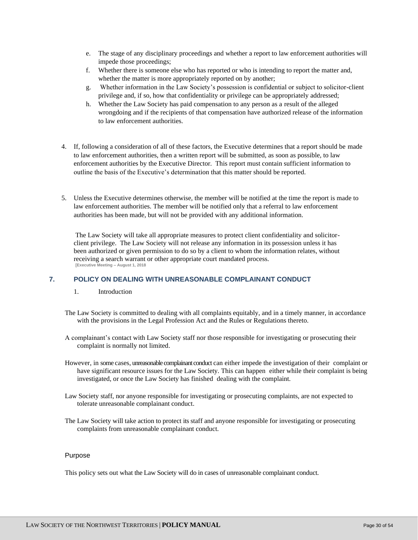- e. The stage of any disciplinary proceedings and whether a report to law enforcement authorities will impede those proceedings;
- f. Whether there is someone else who has reported or who is intending to report the matter and, whether the matter is more appropriately reported on by another;
- g. Whether information in the Law Society's possession is confidential or subject to solicitor-client privilege and, if so, how that confidentiality or privilege can be appropriately addressed;
- h. Whether the Law Society has paid compensation to any person as a result of the alleged wrongdoing and if the recipients of that compensation have authorized release of the information to law enforcement authorities.
- 4. If, following a consideration of all of these factors, the Executive determines that a report should be made to law enforcement authorities, then a written report will be submitted, as soon as possible, to law enforcement authorities by the Executive Director. This report must contain sufficient information to outline the basis of the Executive's determination that this matter should be reported.
- 5. Unless the Executive determines otherwise, the member will be notified at the time the report is made to law enforcement authorities. The member will be notified only that a referral to law enforcement authorities has been made, but will not be provided with any additional information.

The Law Society will take all appropriate measures to protect client confidentiality and solicitorclient privilege. The Law Society will not release any information in its possession unless it has been authorized or given permission to do so by a client to whom the information relates, without receiving a search warrant or other appropriate court mandated process. **[Executive Meeting – August 1, 2018**

# <span id="page-29-0"></span>**7. POLICY ON DEALING WITH UNREASONABLE COMPLAINANT CONDUCT**

- 1. Introduction
- The Law Society is committed to dealing with all complaints equitably, and in a timely manner, in accordance with the provisions in the Legal Profession Act and the Rules or Regulations thereto.
- A complainant's contact with Law Society staff nor those responsible for investigating or prosecuting their complaint is normally not limited.
- However, in some cases, unreasonable complainant conduct can either impede the investigation of their complaint or have significant resource issues for the Law Society. This can happen either while their complaint is being investigated, or once the Law Society has finished dealing with the complaint.
- Law Society staff, nor anyone responsible for investigating or prosecuting complaints, are not expected to tolerate unreasonable complainant conduct.
- The Law Society will take action to protect its staff and anyone responsible for investigating or prosecuting complaints from unreasonable complainant conduct.

#### Purpose

This policy sets out what the Law Society will do in cases of unreasonable complainant conduct.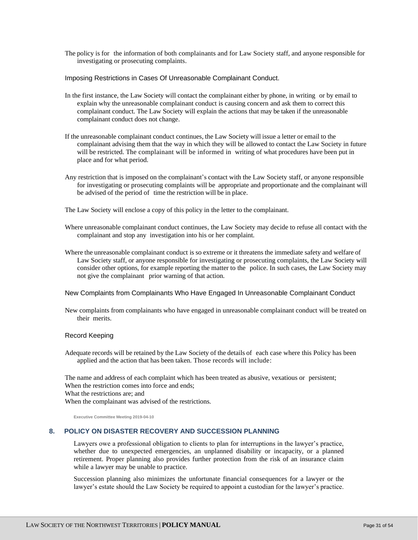The policy is for the information of both complainants and for Law Society staff, and anyone responsible for investigating or prosecuting complaints.

Imposing Restrictions in Cases Of Unreasonable Complainant Conduct.

- In the first instance, the Law Society will contact the complainant either by phone, in writing or by email to explain why the unreasonable complainant conduct is causing concern and ask them to correct this complainant conduct. The Law Society will explain the actions that may be taken if the unreasonable complainant conduct does not change.
- If the unreasonable complainant conduct continues, the Law Society will issue a letter or email to the complainant advising them that the way in which they will be allowed to contact the Law Society in future will be restricted. The complainant will be informed in writing of what procedures have been put in place and for what period.
- Any restriction that is imposed on the complainant's contact with the Law Society staff, or anyone responsible for investigating or prosecuting complaints will be appropriate and proportionate and the complainant will be advised of the period of time the restriction will be in place.

The Law Society will enclose a copy of this policy in the letter to the complainant.

- Where unreasonable complainant conduct continues, the Law Society may decide to refuse all contact with the complainant and stop any investigation into his or her complaint.
- Where the unreasonable complainant conduct is so extreme or it threatens the immediate safety and welfare of Law Society staff, or anyone responsible for investigating or prosecuting complaints, the Law Society will consider other options, for example reporting the matter to the police. In such cases, the Law Society may not give the complainant prior warning of that action.

New Complaints from Complainants Who Have Engaged In Unreasonable Complainant Conduct

New complaints from complainants who have engaged in unreasonable complainant conduct will be treated on their merits.

#### Record Keeping

Adequate records will be retained by the Law Society of the details of each case where this Policy has been applied and the action that has been taken. Those records will include:

The name and address of each complaint which has been treated as abusive, vexatious or persistent; When the restriction comes into force and ends;

What the restrictions are; and

When the complainant was advised of the restrictions.

**Executive Committee Meeting 2019-04-10**

# <span id="page-30-0"></span>**8. POLICY ON DISASTER RECOVERY AND SUCCESSION PLANNING**

Lawyers owe a professional obligation to clients to plan for interruptions in the lawyer's practice, whether due to unexpected emergencies, an unplanned disability or incapacity, or a planned retirement. Proper planning also provides further protection from the risk of an insurance claim while a lawyer may be unable to practice.

Succession planning also minimizes the unfortunate financial consequences for a lawyer or the lawyer's estate should the Law Society be required to appoint a custodian for the lawyer's practice.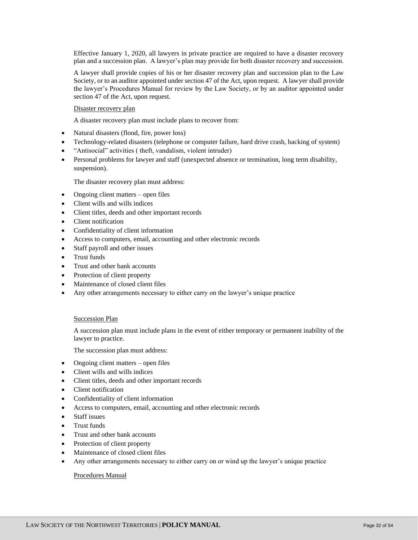Effective January 1, 2020, all lawyers in private practice are required to have a disaster recovery plan and a succession plan. A lawyer's plan may provide for both disaster recovery and succession.

A lawyer shall provide copies of his or her disaster recovery plan and succession plan to the Law Society, or to an auditor appointed under section 47 of the Act, upon request. A lawyer shall provide the lawyer's Procedures Manual for review by the Law Society, or by an auditor appointed under section 47 of the Act, upon request.

# Disaster recovery plan

A disaster recovery plan must include plans to recover from:

- Natural disasters (flood, fire, power loss)
- Technology-related disasters (telephone or computer failure, hard drive crash, hacking of system)
- "Antisocial" activities ( theft, vandalism, violent intruder)
- Personal problems for lawyer and staff (unexpected absence or termination, long term disability, suspension).

The disaster recovery plan must address:

- Ongoing client matters open files
- Client wills and wills indices
- Client titles, deeds and other important records
- Client notification
- Confidentiality of client information
- Access to computers, email, accounting and other electronic records
- Staff payroll and other issues
- Trust funds
- Trust and other bank accounts
- Protection of client property
- Maintenance of closed client files
- Any other arrangements necessary to either carry on the lawyer's unique practice

# Succession Plan

A succession plan must include plans in the event of either temporary or permanent inability of the lawyer to practice.

The succession plan must address:

- Ongoing client matters open files
- Client wills and wills indices
- Client titles, deeds and other important records
- Client notification
- Confidentiality of client information
- Access to computers, email, accounting and other electronic records
- Staff issues
- Trust funds
- Trust and other bank accounts
- Protection of client property
- Maintenance of closed client files
- Any other arrangements necessary to either carry on or wind up the lawyer's unique practice

#### Procedures Manual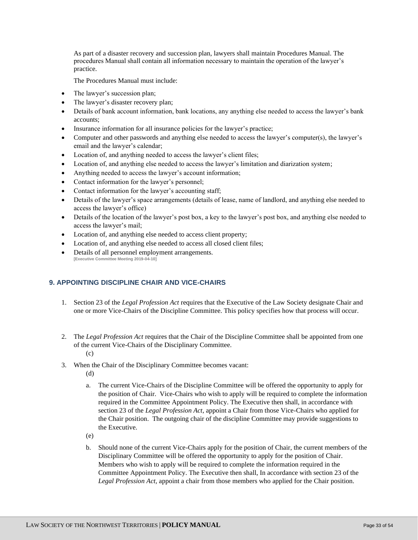As part of a disaster recovery and succession plan, lawyers shall maintain Procedures Manual. The procedures Manual shall contain all information necessary to maintain the operation of the lawyer's practice.

The Procedures Manual must include:

- The lawyer's succession plan;
- The lawyer's disaster recovery plan;
- Details of bank account information, bank locations, any anything else needed to access the lawyer's bank accounts;
- Insurance information for all insurance policies for the lawyer's practice;
- Computer and other passwords and anything else needed to access the lawyer's computer(s), the lawyer's email and the lawyer's calendar;
- Location of, and anything needed to access the lawyer's client files;
- Location of, and anything else needed to access the lawyer's limitation and diarization system;
- Anything needed to access the lawyer's account information;
- Contact information for the lawyer's personnel;
- Contact information for the lawyer's accounting staff;
- Details of the lawyer's space arrangements (details of lease, name of landlord, and anything else needed to access the lawyer's office)
- Details of the location of the lawyer's post box, a key to the lawyer's post box, and anything else needed to access the lawyer's mail;
- Location of, and anything else needed to access client property;
- Location of, and anything else needed to access all closed client files;
- Details of all personnel employment arrangements. **[Executive Committee Meeting 2019-04-10]**

# <span id="page-32-0"></span>**9. APPOINTING DISCIPLINE CHAIR AND VICE-CHAIRS**

- 1. Section 23 of the *Legal Profession Act* requires that the Executive of the Law Society designate Chair and one or more Vice-Chairs of the Discipline Committee. This policy specifies how that process will occur.
- 2. The *Legal Profession Act* requires that the Chair of the Discipline Committee shall be appointed from one of the current Vice-Chairs of the Disciplinary Committee. (c)
- 3. When the Chair of the Disciplinary Committee becomes vacant:
	- (d)
	- a. The current Vice-Chairs of the Discipline Committee will be offered the opportunity to apply for the position of Chair. Vice-Chairs who wish to apply will be required to complete the information required in the Committee Appointment Policy. The Executive then shall, in accordance with section 23 of the *Legal Profession Act*, appoint a Chair from those Vice-Chairs who applied for the Chair position. The outgoing chair of the discipline Committee may provide suggestions to the Executive.
	- (e)
	- b. Should none of the current Vice-Chairs apply for the position of Chair, the current members of the Disciplinary Committee will be offered the opportunity to apply for the position of Chair. Members who wish to apply will be required to complete the information required in the Committee Appointment Policy. The Executive then shall, In accordance with section 23 of the *Legal Profession Act,* appoint a chair from those members who applied for the Chair position.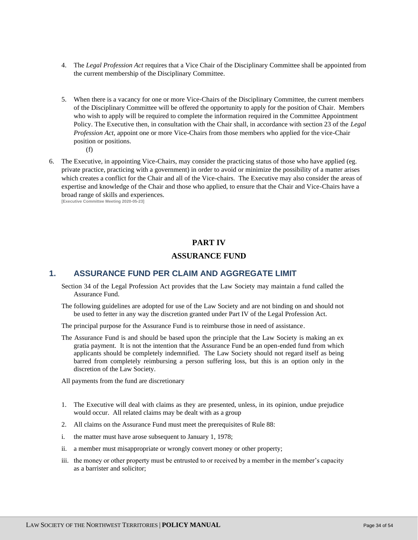- 4. The *Legal Profession Act* requires that a Vice Chair of the Disciplinary Committee shall be appointed from the current membership of the Disciplinary Committee.
- 5. When there is a vacancy for one or more Vice-Chairs of the Disciplinary Committee, the current members of the Disciplinary Committee will be offered the opportunity to apply for the position of Chair. Members who wish to apply will be required to complete the information required in the Committee Appointment Policy. The Executive then, in consultation with the Chair shall, in accordance with section 23 of the *Legal Profession Act,* appoint one or more Vice-Chairs from those members who applied for the vice-Chair position or positions.
	- (f)
- 6. The Executive, in appointing Vice-Chairs, may consider the practicing status of those who have applied (eg. private practice, practicing with a government) in order to avoid or minimize the possibility of a matter arises which creates a conflict for the Chair and all of the Vice-chairs. The Executive may also consider the areas of expertise and knowledge of the Chair and those who applied, to ensure that the Chair and Vice-Chairs have a broad range of skills and experiences. **[Executive Committee Meeting 2020-05-23]**

# **PART IV**

# **ASSURANCE FUND**

# <span id="page-33-2"></span><span id="page-33-1"></span><span id="page-33-0"></span>**1. ASSURANCE FUND PER CLAIM AND AGGREGATE LIMIT**

- Section 34 of the Legal Profession Act provides that the Law Society may maintain a fund called the Assurance Fund.
- The following guidelines are adopted for use of the Law Society and are not binding on and should not be used to fetter in any way the discretion granted under Part IV of the Legal Profession Act.

The principal purpose for the Assurance Fund is to reimburse those in need of assistance.

The Assurance Fund is and should be based upon the principle that the Law Society is making an ex gratia payment. It is not the intention that the Assurance Fund be an open-ended fund from which applicants should be completely indemnified. The Law Society should not regard itself as being barred from completely reimbursing a person suffering loss, but this is an option only in the discretion of the Law Society.

All payments from the fund are discretionary

- 1. The Executive will deal with claims as they are presented, unless, in its opinion, undue prejudice would occur. All related claims may be dealt with as a group
- 2. All claims on the Assurance Fund must meet the prerequisites of Rule 88:
- i. the matter must have arose subsequent to January 1, 1978;
- ii. a member must misappropriate or wrongly convert money or other property;
- iii. the money or other property must be entrusted to or received by a member in the member's capacity as a barrister and solicitor;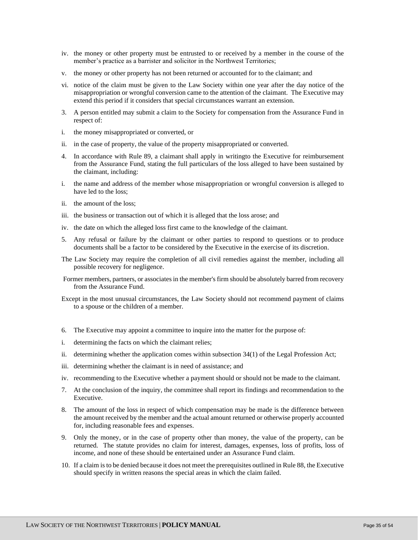- iv. the money or other property must be entrusted to or received by a member in the course of the member's practice as a barrister and solicitor in the Northwest Territories;
- v. the money or other property has not been returned or accounted for to the claimant; and
- vi. notice of the claim must be given to the Law Society within one year after the day notice of the misappropriation or wrongful conversion came to the attention of the claimant. The Executive may extend this period if it considers that special circumstances warrant an extension.
- 3. A person entitled may submit a claim to the Society for compensation from the Assurance Fund in respect of:
- i. the money misappropriated or converted, or
- ii. in the case of property, the value of the property misappropriated or converted.
- 4. In accordance with Rule 89, a claimant shall apply in writingto the Executive for reimbursement from the Assurance Fund, stating the full particulars of the loss alleged to have been sustained by the claimant, including:
- i. the name and address of the member whose misappropriation or wrongful conversion is alleged to have led to the loss;
- ii. the amount of the loss;
- iii. the business or transaction out of which it is alleged that the loss arose; and
- iv. the date on which the alleged loss first came to the knowledge of the claimant.
- 5. Any refusal or failure by the claimant or other parties to respond to questions or to produce documents shall be a factor to be considered by the Executive in the exercise of its discretion.
- The Law Society may require the completion of all civil remedies against the member, including all possible recovery for negligence.
- Former members, partners, or associates in the member's firm should be absolutely barred from recovery from the Assurance Fund.
- Except in the most unusual circumstances, the Law Society should not recommend payment of claims to a spouse or the children of a member.
- 6. The Executive may appoint a committee to inquire into the matter for the purpose of:
- i. determining the facts on which the claimant relies;
- ii. determining whether the application comes within subsection 34(1) of the Legal Profession Act;
- iii. determining whether the claimant is in need of assistance; and
- iv. recommending to the Executive whether a payment should or should not be made to the claimant.
- 7. At the conclusion of the inquiry, the committee shall report its findings and recommendation to the Executive.
- 8. The amount of the loss in respect of which compensation may be made is the difference between the amount received by the member and the actual amount returned or otherwise properly accounted for, including reasonable fees and expenses.
- 9. Only the money, or in the case of property other than money, the value of the property, can be returned. The statute provides no claim for interest, damages, expenses, loss of profits, loss of income, and none of these should be entertained under an Assurance Fund claim.
- 10. If a claim is to be denied because it does not meet the prerequisites outlined in Rule 88, the Executive should specify in written reasons the special areas in which the claim failed.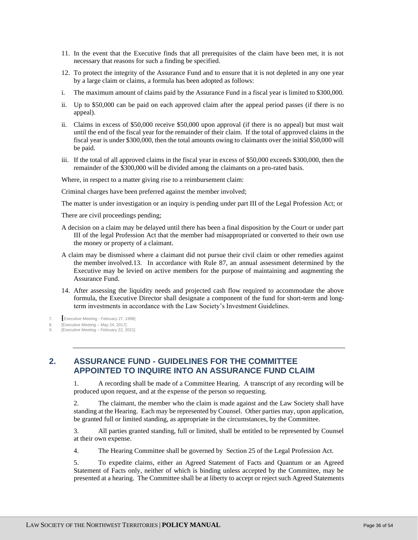- 11. In the event that the Executive finds that all prerequisites of the claim have been met, it is not necessary that reasons for such a finding be specified.
- 12. To protect the integrity of the Assurance Fund and to ensure that it is not depleted in any one year by a large claim or claims, a formula has been adopted as follows:
- i. The maximum amount of claims paid by the Assurance Fund in a fiscal year is limited to \$300,000.
- ii. Up to \$50,000 can be paid on each approved claim after the appeal period passes (if there is no appeal).
- ii. Claims in excess of \$50,000 receive \$50,000 upon approval (if there is no appeal) but must wait until the end of the fiscal year for the remainder of their claim. If the total of approved claims in the fiscal year is under \$300,000, then the total amounts owing to claimants over the initial \$50,000 will be paid.
- iii. If the total of all approved claims in the fiscal year in excess of \$50,000 exceeds \$300,000, then the remainder of the \$300,000 will be divided among the claimants on a pro-rated basis.

Where, in respect to a matter giving rise to a reimbursement claim:

Criminal charges have been preferred against the member involved;

The matter is under investigation or an inquiry is pending under part III of the Legal Profession Act; or

There are civil proceedings pending;

- A decision on a claim may be delayed until there has been a final disposition by the Court or under part III of the legal Profession Act that the member had misappropriated or converted to their own use the money or property of a claimant.
- A claim may be dismissed where a claimant did not pursue their civil claim or other remedies against the member involved.13. In accordance with Rule 87, an annual assessment determined by the Executive may be levied on active members for the purpose of maintaining and augmenting the Assurance Fund.
- 14. After assessing the liquidity needs and projected cash flow required to accommodate the above formula, the Executive Director shall designate a component of the fund for short-term and longterm investments in accordance with the Law Society's Investment Guidelines.

7. **[**Executive Meeting - February 27, 1998]

# <span id="page-35-0"></span>**2. ASSURANCE FUND - GUIDELINES FOR THE COMMITTEE APPOINTED TO INQUIRE INTO AN ASSURANCE FUND CLAIM**

1. A recording shall be made of a Committee Hearing. A transcript of any recording will be produced upon request, and at the expense of the person so requesting.

2. The claimant, the member who the claim is made against and the Law Society shall have standing at the Hearing. Each may be represented by Counsel. Other parties may, upon application, be granted full or limited standing, as appropriate in the circumstances, by the Committee.

3. All parties granted standing, full or limited, shall be entitled to be represented by Counsel at their own expense.

4. The Hearing Committee shall be governed by Section 25 of the Legal Profession Act.

5. To expedite claims, either an Agreed Statement of Facts and Quantum or an Agreed Statement of Facts only, neither of which is binding unless accepted by the Committee, may be presented at a hearing. The Committee shall be at liberty to accept or reject such Agreed Statements

<sup>8.</sup> [Executive Meeting – May 24, 2017]

<sup>9. [</sup>Executive Meeting – February 22, 2021]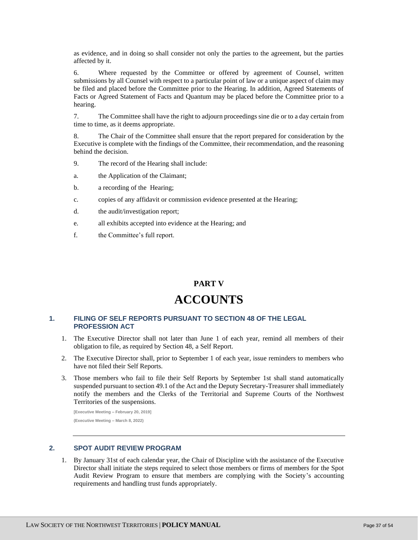as evidence, and in doing so shall consider not only the parties to the agreement, but the parties affected by it.

6. Where requested by the Committee or offered by agreement of Counsel, written submissions by all Counsel with respect to a particular point of law or a unique aspect of claim may be filed and placed before the Committee prior to the Hearing. In addition, Agreed Statements of Facts or Agreed Statement of Facts and Quantum may be placed before the Committee prior to a hearing.

7. The Committee shall have the right to adjourn proceedings sine die or to a day certain from time to time, as it deems appropriate.

8. The Chair of the Committee shall ensure that the report prepared for consideration by the Executive is complete with the findings of the Committee, their recommendation, and the reasoning behind the decision.

- 9. The record of the Hearing shall include:
- a. the Application of the Claimant;
- b. a recording of the Hearing;
- c. copies of any affidavit or commission evidence presented at the Hearing;
- d. the audit/investigation report;
- e. all exhibits accepted into evidence at the Hearing; and
- f. the Committee's full report.

# **PART V**

# **ACCOUNTS**

# <span id="page-36-2"></span><span id="page-36-1"></span><span id="page-36-0"></span>**1. FILING OF SELF REPORTS PURSUANT TO SECTION 48 OF THE LEGAL PROFESSION ACT**

- 1. The Executive Director shall not later than June 1 of each year, remind all members of their obligation to file, as required by Section 48, a Self Report.
- 2. The Executive Director shall, prior to September 1 of each year, issue reminders to members who have not filed their Self Reports.
- 3. Those members who fail to file their Self Reports by September 1st shall stand automatically suspended pursuant to section 49.1 of the Act and the Deputy Secretary-Treasurer shall immediately notify the members and the Clerks of the Territorial and Supreme Courts of the Northwest Territories of the suspensions.

**[Executive Meeting – February 20, 2019] (Executive Meeting – March 8, 2022)**

# <span id="page-36-3"></span>**2. SPOT AUDIT REVIEW PROGRAM**

1. By January 31st of each calendar year, the Chair of Discipline with the assistance of the Executive Director shall initiate the steps required to select those members or firms of members for the Spot Audit Review Program to ensure that members are complying with the Society's accounting requirements and handling trust funds appropriately.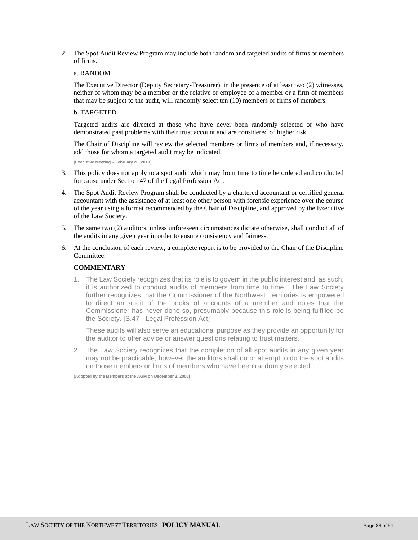2. The Spot Audit Review Program may include both random and targeted audits of firms or members of firms.

# a. RANDOM

The Executive Director (Deputy Secretary-Treasurer), in the presence of at least two (2) witnesses, neither of whom may be a member or the relative or employee of a member or a firm of members that may be subject to the audit, will randomly select ten (10) members or firms of members.

# b. TARGETED

Targeted audits are directed at those who have never been randomly selected or who have demonstrated past problems with their trust account and are considered of higher risk.

The Chair of Discipline will review the selected members or firms of members and, if necessary, add those for whom a targeted audit may be indicated.

**[Executive Meeting – February 20, 2019]**

- 3. This policy does not apply to a spot audit which may from time to time be ordered and conducted for cause under Section 47 of the Legal Profession Act.
- 4. The Spot Audit Review Program shall be conducted by a chartered accountant or certified general accountant with the assistance of at least one other person with forensic experience over the course of the year using a format recommended by the Chair of Discipline, and approved by the Executive of the Law Society.
- 5. The same two (2) auditors, unless unforeseen circumstances dictate otherwise, shall conduct all of the audits in any given year in order to ensure consistency and fairness.
- 6. At the conclusion of each review, a complete report is to be provided to the Chair of the Discipline Committee.

# **COMMENTARY**

1. The Law Society recognizes that its role is to govern in the public interest and, as such, it is authorized to conduct audits of members from time to time. The Law Society further recognizes that the Commissioner of the Northwest Territories is empowered to direct an audit of the books of accounts of a member and notes that the Commissioner has never done so, presumably because this role is being fulfilled be the Society. [S.47 - Legal Profession Act]

These audits will also serve an educational purpose as they provide an opportunity for the auditor to offer advice or answer questions relating to trust matters.

2. The Law Society recognizes that the completion of all spot audits in any given year may not be practicable, however the auditors shall do or attempt to do the spot audits on those members or firms of members who have been randomly selected.

**[Adopted by the Members at the AGM on December 3, 2005]**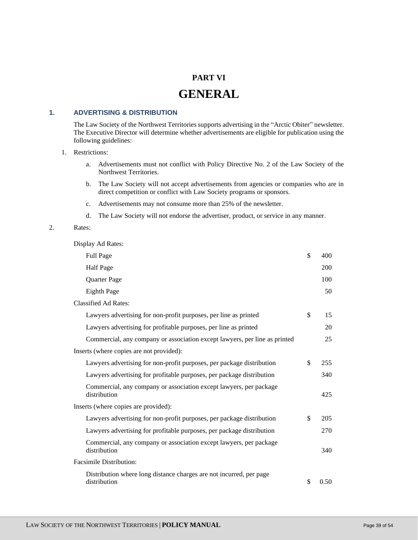# **PART VI**

# **GENERAL**

# <span id="page-38-2"></span><span id="page-38-1"></span><span id="page-38-0"></span>**1. ADVERTISING & DISTRIBUTION**

The Law Society of the Northwest Territories supports advertising in the "Arctic Obiter" newsletter. The Executive Director will determine whether advertisements are eligible for publication using the following guidelines:

#### 1. Restrictions:

- a. Advertisements must not conflict with Policy Directive No. 2 of the Law Society of the Northwest Territories.
- b. The Law Society will not accept advertisements from agencies or companies who are in direct competition or conflict with Law Society programs or sponsors.
- c. Advertisements may not consume more than 25% of the newsletter.
- d. The Law Society will not endorse the advertiser, product, or service in any manner.

# 2. Rates:

Display Ad Rates:

| <b>Full Page</b>                                                                    | \$<br>400  |
|-------------------------------------------------------------------------------------|------------|
| <b>Half Page</b>                                                                    | 200        |
| Quarter Page                                                                        | 100        |
| Eighth Page                                                                         | 50         |
| <b>Classified Ad Rates:</b>                                                         |            |
| Lawyers advertising for non-profit purposes, per line as printed                    | \$<br>15   |
| Lawyers advertising for profitable purposes, per line as printed                    | 20         |
| Commercial, any company or association except lawyers, per line as printed          | 25         |
| Inserts (where copies are not provided):                                            |            |
| Lawyers advertising for non-profit purposes, per package distribution               | \$<br>255  |
| Lawyers advertising for profitable purposes, per package distribution               | 340        |
| Commercial, any company or association except lawyers, per package<br>distribution  | 425        |
| Inserts (where copies are provided):                                                |            |
| Lawyers advertising for non-profit purposes, per package distribution               | \$<br>205  |
| Lawyers advertising for profitable purposes, per package distribution               | 270        |
| Commercial, any company or association except lawyers, per package<br>distribution  | 340        |
| <b>Facsimile Distribution:</b>                                                      |            |
| Distribution where long distance charges are not incurred, per page<br>distribution | \$<br>0.50 |
|                                                                                     |            |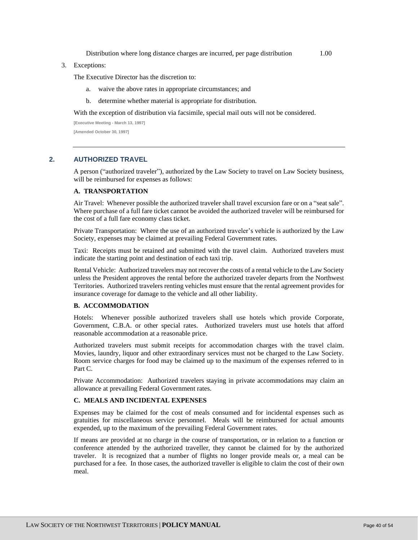Distribution where long distance charges are incurred, per page distribution 1.00

#### 3. Exceptions:

The Executive Director has the discretion to:

- a. waive the above rates in appropriate circumstances; and
- b. determine whether material is appropriate for distribution.

With the exception of distribution via facsimile, special mail outs will not be considered.

**[Executive Meeting - March 13, 1997] [Amended October 30, 1997]**

# <span id="page-39-0"></span>**2. AUTHORIZED TRAVEL**

A person ("authorized traveler"), authorized by the Law Society to travel on Law Society business, will be reimbursed for expenses as follows:

# **A. TRANSPORTATION**

Air Travel: Whenever possible the authorized traveler shall travel excursion fare or on a "seat sale". Where purchase of a full fare ticket cannot be avoided the authorized traveler will be reimbursed for the cost of a full fare economy class ticket.

Private Transportation: Where the use of an authorized traveler's vehicle is authorized by the Law Society, expenses may be claimed at prevailing Federal Government rates.

Taxi: Receipts must be retained and submitted with the travel claim. Authorized travelers must indicate the starting point and destination of each taxi trip.

Rental Vehicle: Authorized travelers may not recover the costs of a rental vehicle to the Law Society unless the President approves the rental before the authorized traveler departs from the Northwest Territories. Authorized travelers renting vehicles must ensure that the rental agreement provides for insurance coverage for damage to the vehicle and all other liability.

#### **B. ACCOMMODATION**

Hotels: Whenever possible authorized travelers shall use hotels which provide Corporate, Government, C.B.A. or other special rates. Authorized travelers must use hotels that afford reasonable accommodation at a reasonable price.

Authorized travelers must submit receipts for accommodation charges with the travel claim. Movies, laundry, liquor and other extraordinary services must not be charged to the Law Society. Room service charges for food may be claimed up to the maximum of the expenses referred to in Part C.

Private Accommodation: Authorized travelers staying in private accommodations may claim an allowance at prevailing Federal Government rates.

#### **C. MEALS AND INCIDENTAL EXPENSES**

Expenses may be claimed for the cost of meals consumed and for incidental expenses such as gratuities for miscellaneous service personnel.Meals will be reimbursed for actual amounts expended, up to the maximum of the prevailing Federal Government rates.

If means are provided at no charge in the course of transportation, or in relation to a function or conference attended by the authorized traveller, they cannot be claimed for by the authorized traveler. It is recognized that a number of flights no longer provide meals or, a meal can be purchased for a fee. In those cases, the authorized traveller is eligible to claim the cost of their own meal.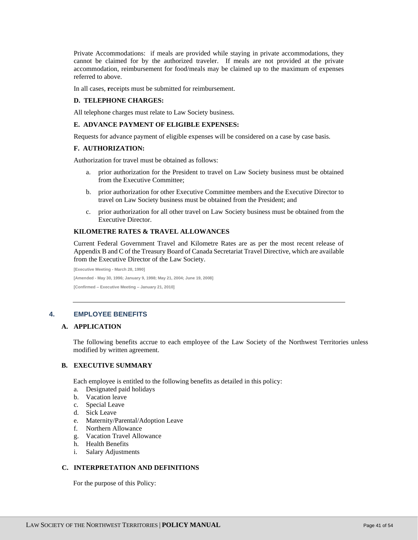Private Accommodations: if meals are provided while staying in private accommodations, they cannot be claimed for by the authorized traveler. If meals are not provided at the private accommodation, reimbursement for food/meals may be claimed up to the maximum of expenses referred to above.

In all cases, **r**eceipts must be submitted for reimbursement.

#### **D. TELEPHONE CHARGES:**

All telephone charges must relate to Law Society business.

#### **E. ADVANCE PAYMENT OF ELIGIBLE EXPENSES:**

Requests for advance payment of eligible expenses will be considered on a case by case basis.

#### **F. AUTHORIZATION:**

Authorization for travel must be obtained as follows:

- a. prior authorization for the President to travel on Law Society business must be obtained from the Executive Committee;
- b. prior authorization for other Executive Committee members and the Executive Director to travel on Law Society business must be obtained from the President; and
- c. prior authorization for all other travel on Law Society business must be obtained from the Executive Director.

#### **KILOMETRE RATES & TRAVEL ALLOWANCES**

Current Federal Government Travel and Kilometre Rates are as per the most recent release of Appendix B and C of the Treasury Board of Canada Secretariat Travel Directive, which are available from the Executive Director of the Law Society.

**[Executive Meeting - March 28, 1990] [Amended - May 30, 1996; January 9, 1998; May 21, 2004; June 19, 2008] [Confirmed – Executive Meeting – January 21, 2010]**

#### <span id="page-40-0"></span>**4. EMPLOYEE BENEFITS**

# **A. APPLICATION**

The following benefits accrue to each employee of the Law Society of the Northwest Territories unless modified by written agreement.

### **B. EXECUTIVE SUMMARY**

Each employee is entitled to the following benefits as detailed in this policy:

- a. Designated paid holidays
- b. Vacation leave
- c. Special Leave
- d. Sick Leave
- e. Maternity/Parental/Adoption Leave<br>f. Northern Allowance
- Northern Allowance
- g. Vacation Travel Allowance
- h. Health Benefits
- i. Salary Adjustments

#### **C. INTERPRETATION AND DEFINITIONS**

For the purpose of this Policy: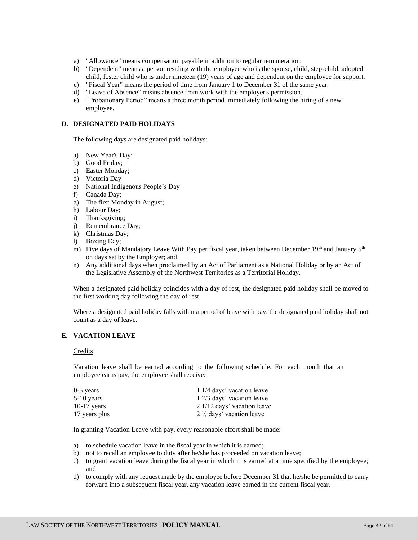- a) "Allowance" means compensation payable in addition to regular remuneration.
- b) "Dependent" means a person residing with the employee who is the spouse, child, step-child, adopted child, foster child who is under nineteen (19) years of age and dependent on the employee for support.
- c) "Fiscal Year" means the period of time from January 1 to December 31 of the same year.
- d) "Leave of Absence" means absence from work with the employer's permission.
- e) "Probationary Period" means a three month period immediately following the hiring of a new employee.

# **D. DESIGNATED PAID HOLIDAYS**

The following days are designated paid holidays:

- a) New Year's Day;
- b) Good Friday;
- c) Easter Monday;
- d) Victoria Day
- e) National Indigenous People's Day
- f) Canada Day;
- g) The first Monday in August;
- h) Labour Day;
- i) Thanksgiving;
- j) Remembrance Day;
- $k$ ) Christmas Day;
- l) Boxing Day;
- m) Five days of Mandatory Leave With Pay per fiscal year, taken between December 19<sup>th</sup> and January 5<sup>th</sup> on days set by the Employer; and
- n) Any additional days when proclaimed by an Act of Parliament as a National Holiday or by an Act of the Legislative Assembly of the Northwest Territories as a Territorial Holiday.

When a designated paid holiday coincides with a day of rest, the designated paid holiday shall be moved to the first working day following the day of rest.

Where a designated paid holiday falls within a period of leave with pay, the designated paid holiday shall not count as a day of leave.

# **E. VACATION LEAVE**

#### Credits

Vacation leave shall be earned according to the following schedule. For each month that an employee earns pay, the employee shall receive:

| $0-5$ years   | 1 1/4 days' vacation leave          |
|---------------|-------------------------------------|
| 5-10 years    | 1 2/3 days' vacation leave          |
| $10-17$ years | 2 1/12 days' vacation leave         |
| 17 years plus | $2\frac{1}{2}$ days' vacation leave |

In granting Vacation Leave with pay, every reasonable effort shall be made:

- a) to schedule vacation leave in the fiscal year in which it is earned;
- b) not to recall an employee to duty after he/she has proceeded on vacation leave;
- c) to grant vacation leave during the fiscal year in which it is earned at a time specified by the employee; and
- d) to comply with any request made by the employee before December 31 that he/she be permitted to carry forward into a subsequent fiscal year, any vacation leave earned in the current fiscal year.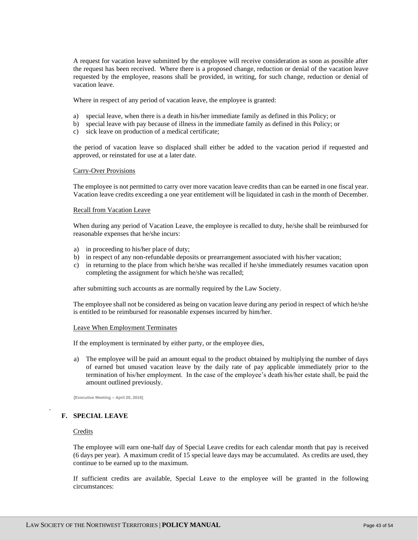A request for vacation leave submitted by the employee will receive consideration as soon as possible after the request has been received. Where there is a proposed change, reduction or denial of the vacation leave requested by the employee, reasons shall be provided, in writing, for such change, reduction or denial of vacation leave.

Where in respect of any period of vacation leave, the employee is granted:

- a) special leave, when there is a death in his/her immediate family as defined in this Policy; or
- b) special leave with pay because of illness in the immediate family as defined in this Policy; or
- c) sick leave on production of a medical certificate;

the period of vacation leave so displaced shall either be added to the vacation period if requested and approved, or reinstated for use at a later date.

#### Carry-Over Provisions

The employee is not permitted to carry over more vacation leave credits than can be earned in one fiscal year. Vacation leave credits exceeding a one year entitlement will be liquidated in cash in the month of December.

#### Recall from Vacation Leave

When during any period of Vacation Leave, the employee is recalled to duty, he/she shall be reimbursed for reasonable expenses that he/she incurs:

- a) in proceeding to his/her place of duty;
- b) in respect of any non-refundable deposits or prearrangement associated with his/her vacation;
- c) in returning to the place from which he/she was recalled if he/she immediately resumes vacation upon completing the assignment for which he/she was recalled;

after submitting such accounts as are normally required by the Law Society.

The employee shall not be considered as being on vacation leave during any period in respect of which he/she is entitled to be reimbursed for reasonable expenses incurred by him/her.

#### Leave When Employment Terminates

If the employment is terminated by either party, or the employee dies,

a) The employee will be paid an amount equal to the product obtained by multiplying the number of days of earned but unused vacation leave by the daily rate of pay applicable immediately prior to the termination of his/her employment. In the case of the employee's death his/her estate shall, be paid the amount outlined previously.

**[Executive Meeting – April 20, 2016]**

# **F. SPECIAL LEAVE**

#### **Credits**

.

The employee will earn one-half day of Special Leave credits for each calendar month that pay is received (6 days per year). A maximum credit of 15 special leave days may be accumulated. As credits are used, they continue to be earned up to the maximum.

If sufficient credits are available, Special Leave to the employee will be granted in the following circumstances: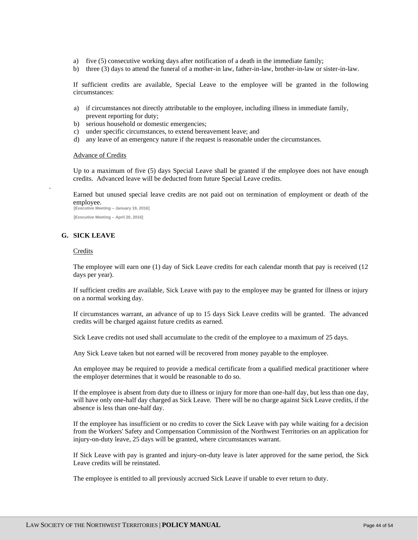- a) five (5) consecutive working days after notification of a death in the immediate family;
- b) three (3) days to attend the funeral of a mother-in law, father-in-law, brother-in-law or sister-in-law.

If sufficient credits are available, Special Leave to the employee will be granted in the following circumstances:

- a) if circumstances not directly attributable to the employee, including illness in immediate family, prevent reporting for duty;
- b) serious household or domestic emergencies;
- c) under specific circumstances, to extend bereavement leave; and
- d) any leave of an emergency nature if the request is reasonable under the circumstances.

#### Advance of Credits

Up to a maximum of five (5) days Special Leave shall be granted if the employee does not have enough credits. Advanced leave will be deducted from future Special Leave credits.

Earned but unused special leave credits are not paid out on termination of employment or death of the employee. **[Executive Meeting – January 19, 2016]**

**[Executive Meeting – April 20, 2016]**

# **G. SICK LEAVE**

#### Credits

.

The employee will earn one (1) day of Sick Leave credits for each calendar month that pay is received (12 days per year).

If sufficient credits are available, Sick Leave with pay to the employee may be granted for illness or injury on a normal working day.

If circumstances warrant, an advance of up to 15 days Sick Leave credits will be granted. The advanced credits will be charged against future credits as earned.

Sick Leave credits not used shall accumulate to the credit of the employee to a maximum of 25 days.

Any Sick Leave taken but not earned will be recovered from money payable to the employee.

An employee may be required to provide a medical certificate from a qualified medical practitioner where the employer determines that it would be reasonable to do so.

If the employee is absent from duty due to illness or injury for more than one-half day, but less than one day, will have only one-half day charged as Sick Leave. There will be no charge against Sick Leave credits, if the absence is less than one-half day.

If the employee has insufficient or no credits to cover the Sick Leave with pay while waiting for a decision from the Workers' Safety and Compensation Commission of the Northwest Territories on an application for injury-on-duty leave, 25 days will be granted, where circumstances warrant.

If Sick Leave with pay is granted and injury-on-duty leave is later approved for the same period, the Sick Leave credits will be reinstated.

The employee is entitled to all previously accrued Sick Leave if unable to ever return to duty.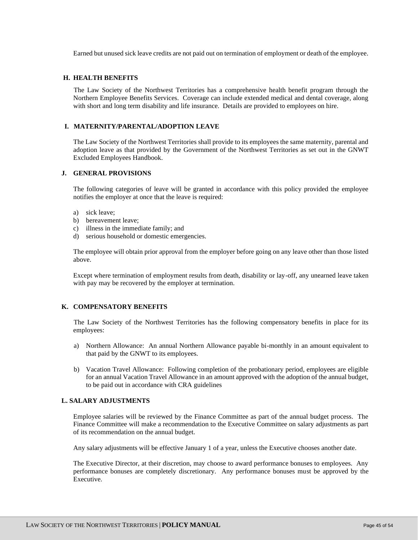Earned but unused sick leave credits are not paid out on termination of employment or death of the employee.

#### **H. HEALTH BENEFITS**

The Law Society of the Northwest Territories has a comprehensive health benefit program through the Northern Employee Benefits Services. Coverage can include extended medical and dental coverage, along with short and long term disability and life insurance. Details are provided to employees on hire.

#### **I. MATERNITY/PARENTAL/ADOPTION LEAVE**

The Law Society of the Northwest Territories shall provide to its employees the same maternity, parental and adoption leave as that provided by the Government of the Northwest Territories as set out in the GNWT Excluded Employees Handbook.

#### **J. GENERAL PROVISIONS**

The following categories of leave will be granted in accordance with this policy provided the employee notifies the employer at once that the leave is required:

- a) sick leave;
- b) bereavement leave:
- c) illness in the immediate family; and
- d) serious household or domestic emergencies.

The employee will obtain prior approval from the employer before going on any leave other than those listed above.

Except where termination of employment results from death, disability or lay-off, any unearned leave taken with pay may be recovered by the employer at termination.

### **K. COMPENSATORY BENEFITS**

The Law Society of the Northwest Territories has the following compensatory benefits in place for its employees:

- a) Northern Allowance: An annual Northern Allowance payable bi-monthly in an amount equivalent to that paid by the GNWT to its employees.
- b) Vacation Travel Allowance: Following completion of the probationary period, employees are eligible for an annual Vacation Travel Allowance in an amount approved with the adoption of the annual budget, to be paid out in accordance with CRA guidelines

# **L. SALARY ADJUSTMENTS**

Employee salaries will be reviewed by the Finance Committee as part of the annual budget process. The Finance Committee will make a recommendation to the Executive Committee on salary adjustments as part of its recommendation on the annual budget.

Any salary adjustments will be effective January 1 of a year, unless the Executive chooses another date.

The Executive Director, at their discretion, may choose to award performance bonuses to employees. Any performance bonuses are completely discretionary. Any performance bonuses must be approved by the Executive.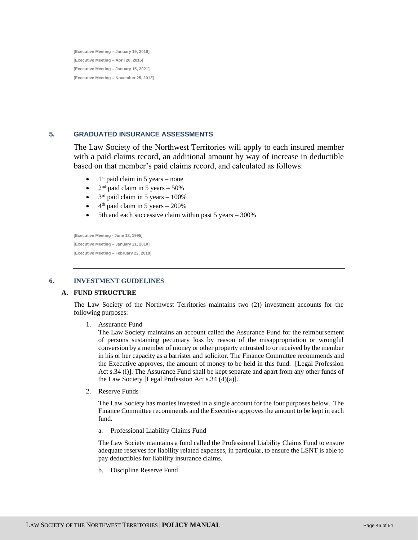**[Executive Meeting – January 19, 2016] [Executive Meeting – April 20, 2016] [Executive Meeting – January 15, 2021] [Executive Meeting – November 25, 2013]**

# <span id="page-45-0"></span>**5. GRADUATED INSURANCE ASSESSMENTS**

The Law Society of the Northwest Territories will apply to each insured member with a paid claims record, an additional amount by way of increase in deductible based on that member's paid claims record, and calculated as follows:

- $\bullet$  1<sup>st</sup> paid claim in 5 years none
- $2<sup>nd</sup>$  paid claim in 5 years  $-50\%$
- $3<sup>rd</sup>$  paid claim in 5 years 100%
- $\bullet$  4<sup>th</sup> paid claim in 5 years 200%
- 5th and each successive claim within past 5 years 300%

**[Executive Meeting - June 13, 1995] [Executive Meeting – January 21, 2010] [Executive Meeting – February 22, 2018]**

# <span id="page-45-1"></span>**6. INVESTMENT GUIDELINES**

#### **A. FUND STRUCTURE**

The Law Society of the Northwest Territories maintains two (2)) investment accounts for the following purposes:

1. Assurance Fund

The Law Society maintains an account called the Assurance Fund for the reimbursement of persons sustaining pecuniary loss by reason of the misappropriation or wrongful conversion by a member of money or other property entrusted to or received by the member in his or her capacity as a barrister and solicitor. The Finance Committee recommends and the Executive approves, the amount of money to be held in this fund. [Legal Profession Act s.34 (l)]. The Assurance Fund shall be kept separate and apart from any other funds of the Law Society [Legal Profession Act s.34 (4)(a)].

2. Reserve Funds

The Law Society has monies invested in a single account for the four purposes below. The Finance Committee recommends and the Executive approves the amount to be kept in each fund.

a. Professional Liability Claims Fund

The Law Society maintains a fund called the Professional Liability Claims Fund to ensure adequate reserves for liability related expenses, in particular, to ensure the LSNT is able to pay deductibles for liability insurance claims.

b. Discipline Reserve Fund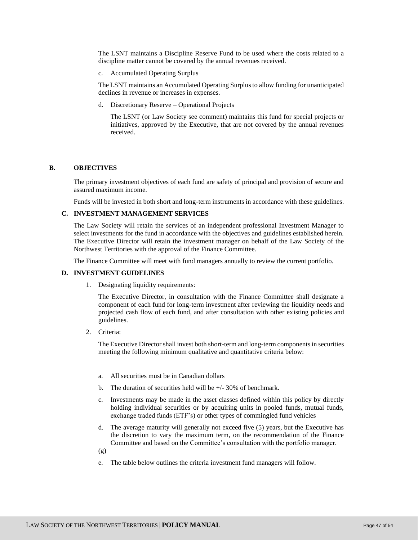The LSNT maintains a Discipline Reserve Fund to be used where the costs related to a discipline matter cannot be covered by the annual revenues received.

c. Accumulated Operating Surplus

The LSNT maintains an Accumulated Operating Surplus to allow funding for unanticipated declines in revenue or increases in expenses.

d. Discretionary Reserve – Operational Projects

The LSNT (or Law Society see comment) maintains this fund for special projects or initiatives, approved by the Executive, that are not covered by the annual revenues received.

#### **B. OBJECTIVES**

The primary investment objectives of each fund are safety of principal and provision of secure and assured maximum income.

Funds will be invested in both short and long-term instruments in accordance with these guidelines.

# **C. INVESTMENT MANAGEMENT SERVICES**

The Law Society will retain the services of an independent professional Investment Manager to select investments for the fund in accordance with the objectives and guidelines established herein. The Executive Director will retain the investment manager on behalf of the Law Society of the Northwest Territories with the approval of the Finance Committee.

The Finance Committee will meet with fund managers annually to review the current portfolio.

#### **D. INVESTMENT GUIDELINES**

1. Designating liquidity requirements:

The Executive Director, in consultation with the Finance Committee shall designate a component of each fund for long-term investment after reviewing the liquidity needs and projected cash flow of each fund, and after consultation with other existing policies and guidelines.

2. Criteria:

The Executive Director shall invest both short-term and long-term components in securities meeting the following minimum qualitative and quantitative criteria below:

- a. All securities must be in Canadian dollars
- b. The duration of securities held will be  $+/-30\%$  of benchmark.
- c. Investments may be made in the asset classes defined within this policy by directly holding individual securities or by acquiring units in pooled funds, mutual funds, exchange traded funds (ETF's) or other types of commingled fund vehicles
- d. The average maturity will generally not exceed five (5) years, but the Executive has the discretion to vary the maximum term, on the recommendation of the Finance Committee and based on the Committee's consultation with the portfolio manager.
- (g)
- e. The table below outlines the criteria investment fund managers will follow.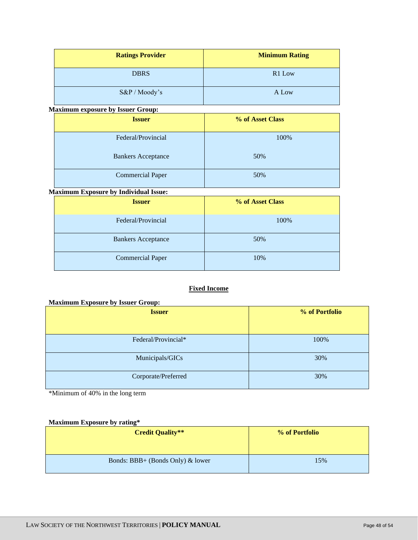| <b>Ratings Provider</b>                      | <b>Minimum Rating</b> |
|----------------------------------------------|-----------------------|
| <b>DBRS</b>                                  | R1 Low                |
| S&P / Moody's                                | A Low                 |
| <b>Maximum exposure by Issuer Group:</b>     |                       |
| <b>Issuer</b>                                | % of Asset Class      |
| Federal/Provincial                           | 100%                  |
| <b>Bankers Acceptance</b>                    | 50%                   |
| <b>Commercial Paper</b>                      | 50%                   |
| <b>Maximum Exposure by Individual Issue:</b> |                       |
| <b>Issuer</b>                                | % of Asset Class      |
| Federal/Provincial                           | 100%                  |
| <b>Bankers Acceptance</b>                    | 50%                   |
| <b>Commercial Paper</b>                      | 10%                   |

# **Fixed Income**

# **Maximum Exposure by Issuer Group:**

| <b>Issuer</b>       | % of Portfolio |
|---------------------|----------------|
|                     |                |
| Federal/Provincial* | 100%           |
| Municipals/GICs     | 30%            |
| Corporate/Preferred | 30%            |

\*Minimum of 40% in the long term

# **Maximum Exposure by rating\***

| <b>Credit Quality**</b>          | % of Portfolio |
|----------------------------------|----------------|
| Bonds: BBB+ (Bonds Only) & lower | 15%            |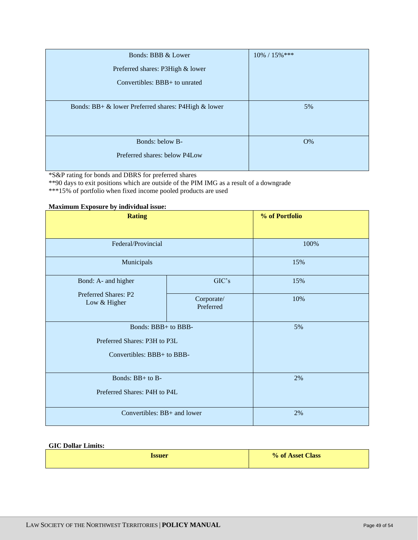| Bonds: BBB & Lower                                  | $10\% / 15\%$ *** |
|-----------------------------------------------------|-------------------|
| Preferred shares: P3High & lower                    |                   |
| Convertibles: BBB+ to unrated                       |                   |
|                                                     |                   |
| Bonds: BB+ & lower Preferred shares: P4High & lower | 5%                |
|                                                     |                   |
|                                                     |                   |
| Bonds: below B-                                     | O%                |
| Preferred shares: below P4Low                       |                   |
|                                                     |                   |

\*S&P rating for bonds and DBRS for preferred shares

\*\*90 days to exit positions which are outside of the PIM IMG as a result of a downgrade

\*\*\*15% of portfolio when fixed income pooled products are used

# **Maximum Exposure by individual issue:**

| <b>Rating</b>                        |                         | % of Portfolio |
|--------------------------------------|-------------------------|----------------|
|                                      |                         |                |
| Federal/Provincial                   |                         | 100%           |
| Municipals                           |                         | 15%            |
| Bond: A- and higher                  | GIC's                   | 15%            |
| Preferred Shares: P2<br>Low & Higher | Corporate/<br>Preferred | 10%            |
| Bonds: BBB+ to BBB-                  |                         | 5%             |
| Preferred Shares: P3H to P3L         |                         |                |
| Convertibles: BBB+ to BBB-           |                         |                |
| Bonds: BB+ to B-                     |                         | 2%             |
| Preferred Shares: P4H to P4L         |                         |                |
| Convertibles: BB+ and lower          |                         | 2%             |

# **GIC Dollar Limits:**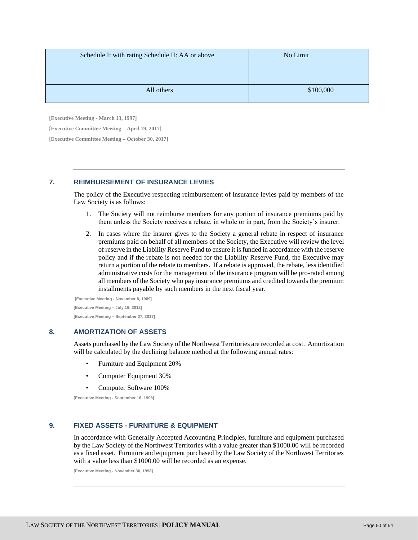| Schedule I: with rating Schedule II: AA or above | No Limit  |
|--------------------------------------------------|-----------|
| All others                                       | \$100,000 |

**[Executive Meeting - March 13, 1997]**

**[Executive Committee Meeting – April 19, 2017]**

**[Executive Committee Meeting – October 30, 2017]**

# <span id="page-49-0"></span>**7. REIMBURSEMENT OF INSURANCE LEVIES**

The policy of the Executive respecting reimbursement of insurance levies paid by members of the Law Society is as follows:

- 1. The Society will not reimburse members for any portion of insurance premiums paid by them unless the Society receives a rebate, in whole or in part, from the Society's insurer.
- 2. In cases where the insurer gives to the Society a general rebate in respect of insurance premiums paid on behalf of all members of the Society, the Executive will review the level of reserve in the Liability Reserve Fund to ensure it is funded in accordance with the reserve policy and if the rebate is not needed for the Liability Reserve Fund, the Executive may return a portion of the rebate to members. If a rebate is approved, the rebate, less identified administrative costs for the management of the insurance program will be pro-rated among all members of the Society who pay insurance premiums and credited towards the premium installments payable by such members in the next fiscal year.

**[Executive Meeting - November 8, 1989] [Executive Meeting – July 19, 2012] [Executive Meeting – September 27, 2017]**

# <span id="page-49-1"></span>**8. AMORTIZATION OF ASSETS**

Assets purchased by the Law Society of the Northwest Territories are recorded at cost. Amortization will be calculated by the declining balance method at the following annual rates:

- Furniture and Equipment 20%
- Computer Equipment 30%
- Computer Software 100%

**[Executive Meeting - September 16, 1998]**

# <span id="page-49-2"></span>**9. FIXED ASSETS - FURNITURE & EQUIPMENT**

In accordance with Generally Accepted Accounting Principles, furniture and equipment purchased by the Law Society of the Northwest Territories with a value greater than \$1000.00 will be recorded as a fixed asset. Furniture and equipment purchased by the Law Society of the Northwest Territories with a value less than \$1000.00 will be recorded as an expense.

**[Executive Meeting - November 30, 1998]**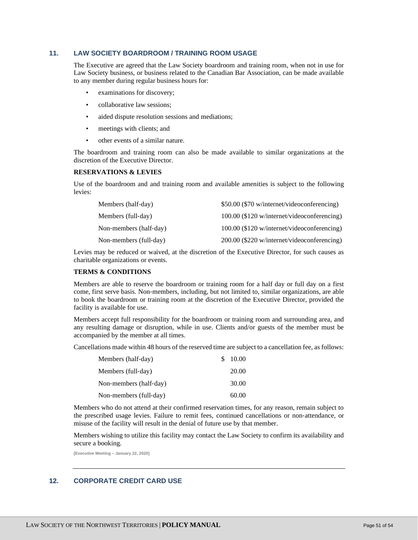# <span id="page-50-0"></span>**11. LAW SOCIETY BOARDROOM / TRAINING ROOM USAGE**

The Executive are agreed that the Law Society boardroom and training room, when not in use for Law Society business, or business related to the Canadian Bar Association, can be made available to any member during regular business hours for:

- examinations for discovery;
- collaborative law sessions:
- aided dispute resolution sessions and mediations;
- meetings with clients; and
- other events of a similar nature.

The boardroom and training room can also be made available to similar organizations at the discretion of the Executive Director.

#### **RESERVATIONS & LEVIES**

Use of the boardroom and and training room and available amenities is subject to the following levies:

| Members (half-day)     | \$50.00 (\$70 w/internet/videoconferencing) |
|------------------------|---------------------------------------------|
| Members (full-day)     | 100.00 (\$120 w/internet/videoconferencing) |
| Non-members (half-day) | 100.00 (\$120 w/internet/videoconferencing) |
| Non-members (full-day) | 200.00 (\$220 w/internet/videoconferencing) |

Levies may be reduced or waived, at the discretion of the Executive Director, for such causes as charitable organizations or events.

#### **TERMS & CONDITIONS**

Members are able to reserve the boardroom or training room for a half day or full day on a first come, first serve basis. Non-members, including, but not limited to, similar organizations, are able to book the boardroom or training room at the discretion of the Executive Director, provided the facility is available for use.

Members accept full responsibility for the boardroom or training room and surrounding area, and any resulting damage or disruption, while in use. Clients and/or guests of the member must be accompanied by the member at all times.

Cancellations made within 48 hours of the reserved time are subject to a cancellation fee, as follows:

| Members (half-day)     | S. | 10.00 |
|------------------------|----|-------|
| Members (full-day)     |    | 20.00 |
| Non-members (half-day) |    | 30.00 |
| Non-members (full-day) |    | 60.00 |

Members who do not attend at their confirmed reservation times, for any reason, remain subject to the prescribed usage levies. Failure to remit fees, continued cancellations or non-attendance, or misuse of the facility will result in the denial of future use by that member.

Members wishing to utilize this facility may contact the Law Society to confirm its availability and secure a booking.

**[Executive Meeting – January 22, 2020]**

# <span id="page-50-1"></span>**12. CORPORATE CREDIT CARD USE**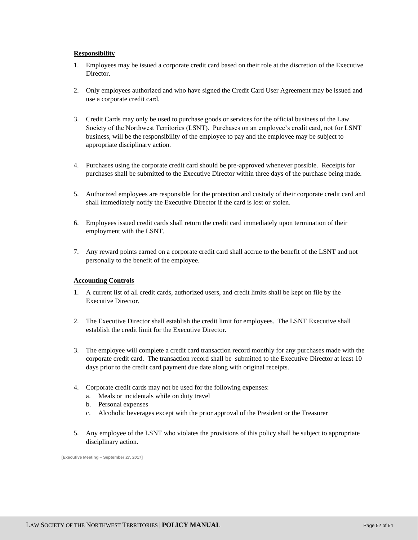# **Responsibility**

- 1. Employees may be issued a corporate credit card based on their role at the discretion of the Executive **Director**
- 2. Only employees authorized and who have signed the Credit Card User Agreement may be issued and use a corporate credit card.
- 3. Credit Cards may only be used to purchase goods or services for the official business of the Law Society of the Northwest Territories (LSNT). Purchases on an employee's credit card, not for LSNT business, will be the responsibility of the employee to pay and the employee may be subject to appropriate disciplinary action.
- 4. Purchases using the corporate credit card should be pre-approved whenever possible. Receipts for purchases shall be submitted to the Executive Director within three days of the purchase being made.
- 5. Authorized employees are responsible for the protection and custody of their corporate credit card and shall immediately notify the Executive Director if the card is lost or stolen.
- 6. Employees issued credit cards shall return the credit card immediately upon termination of their employment with the LSNT.
- 7. Any reward points earned on a corporate credit card shall accrue to the benefit of the LSNT and not personally to the benefit of the employee.

#### **Accounting Controls**

- 1. A current list of all credit cards, authorized users, and credit limits shall be kept on file by the Executive Director.
- 2. The Executive Director shall establish the credit limit for employees. The LSNT Executive shall establish the credit limit for the Executive Director.
- 3. The employee will complete a credit card transaction record monthly for any purchases made with the corporate credit card. The transaction record shall be submitted to the Executive Director at least 10 days prior to the credit card payment due date along with original receipts.
- 4. Corporate credit cards may not be used for the following expenses:
	- a. Meals or incidentals while on duty travel
	- b. Personal expenses
	- c. Alcoholic beverages except with the prior approval of the President or the Treasurer
- 5. Any employee of the LSNT who violates the provisions of this policy shall be subject to appropriate disciplinary action.

**[Executive Meeting – September 27, 2017]**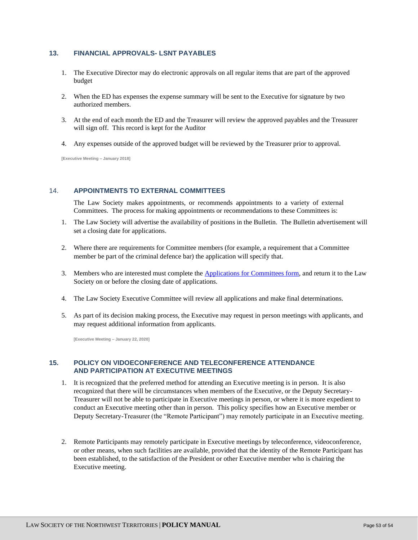# <span id="page-52-0"></span>**13. FINANCIAL APPROVALS- LSNT PAYABLES**

- 1. The Executive Director may do electronic approvals on all regular items that are part of the approved budget
- 2. When the ED has expenses the expense summary will be sent to the Executive for signature by two authorized members.
- 3. At the end of each month the ED and the Treasurer will review the approved payables and the Treasurer will sign off. This record is kept for the Auditor
- 4. Any expenses outside of the approved budget will be reviewed by the Treasurer prior to approval.

**[Executive Meeting – January 2018]**

# <span id="page-52-1"></span>14. **APPOINTMENTS TO EXTERNAL COMMITTEES**

The Law Society makes appointments, or recommends appointments to a variety of external Committees. The process for making appointments or recommendations to these Committees is:

- 1. The Law Society will advertise the availability of positions in the Bulletin. The Bulletin advertisement will set a closing date for applications.
- 2. Where there are requirements for Committee members (for example, a requirement that a Committee member be part of the criminal defence bar) the application will specify that.
- 3. Members who are interested must complete the [Applications for Committees form,](https://lawsociety.nt.ca/sites/default/files/Application-%20External%20Committees%20Fillable_1.pdf) and return it to the Law Society on or before the closing date of applications.
- 4. The Law Society Executive Committee will review all applications and make final determinations.
- 5. As part of its decision making process, the Executive may request in person meetings with applicants, and may request additional information from applicants.

**[Executive Meeting – January 22, 2020]**

# <span id="page-52-2"></span>**15. POLICY ON VIDOECONFERENCE AND TELECONFERENCE ATTENDANCE AND PARTICIPATION AT EXECUTIVE MEETINGS**

- 1. It is recognized that the preferred method for attending an Executive meeting is in person. It is also recognized that there will be circumstances when members of the Executive, or the Deputy Secretary-Treasurer will not be able to participate in Executive meetings in person, or where it is more expedient to conduct an Executive meeting other than in person. This policy specifies how an Executive member or Deputy Secretary-Treasurer (the "Remote Participant") may remotely participate in an Executive meeting.
- 2. Remote Participants may remotely participate in Executive meetings by teleconference, videoconference, or other means, when such facilities are available, provided that the identity of the Remote Participant has been established, to the satisfaction of the President or other Executive member who is chairing the Executive meeting.